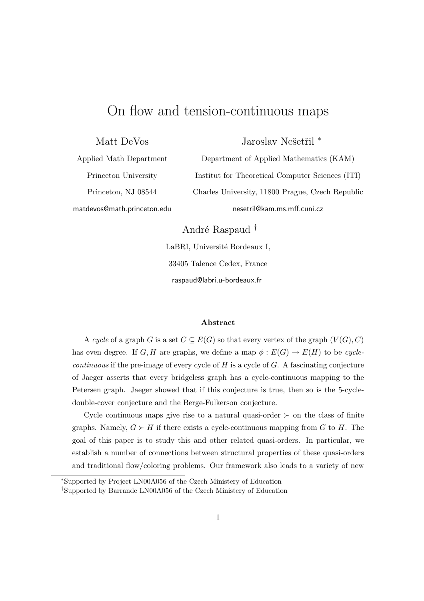# On flow and tension-continuous maps

Matt DeVos

Jaroslav Nešetřil<sup>\*</sup>

Applied Math Department Princeton University

matdevos@math.princeton.edu

Princeton, NJ 08544

Department of Applied Mathematics (KAM) Institut for Theoretical Computer Sciences (ITI) Charles University, 11800 Prague, Czech Republic nesetril@kam.ms.mff.cuni.cz

André Raspaud <sup>†</sup>

LaBRI, Université Bordeaux I, 33405 Talence Cedex, France raspaud@labri.u-bordeaux.fr

### Abstract

A cycle of a graph G is a set  $C \subseteq E(G)$  so that every vertex of the graph  $(V(G), C)$ has even degree. If G, H are graphs, we define a map  $\phi : E(G) \to E(H)$  to be cycle $continuous$  if the pre-image of every cycle of  $H$  is a cycle of  $G$ . A fascinating conjecture of Jaeger asserts that every bridgeless graph has a cycle-continuous mapping to the Petersen graph. Jaeger showed that if this conjecture is true, then so is the 5-cycledouble-cover conjecture and the Berge-Fulkerson conjecture.

Cycle continuous maps give rise to a natural quasi-order  $\succ$  on the class of finite graphs. Namely,  $G \succ H$  if there exists a cycle-continuous mapping from G to H. The goal of this paper is to study this and other related quasi-orders. In particular, we establish a number of connections between structural properties of these quasi-orders and traditional flow/coloring problems. Our framework also leads to a variety of new

<sup>∗</sup>Supported by Project LN00A056 of the Czech Ministery of Education

<sup>†</sup>Supported by Barrande LN00A056 of the Czech Ministery of Education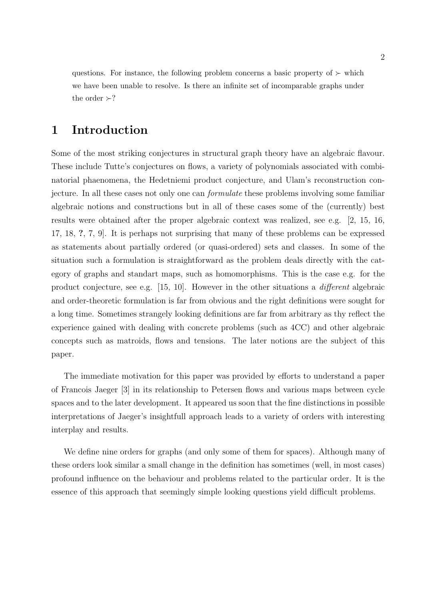questions. For instance, the following problem concerns a basic property of  $\succ$  which we have been unable to resolve. Is there an infinite set of incomparable graphs under the order  $\succ$ ?

## 1 Introduction

Some of the most striking conjectures in structural graph theory have an algebraic flavour. These include Tutte's conjectures on flows, a variety of polynomials associated with combinatorial phaenomena, the Hedetniemi product conjecture, and Ulam's reconstruction conjecture. In all these cases not only one can formulate these problems involving some familiar algebraic notions and constructions but in all of these cases some of the (currently) best results were obtained after the proper algebraic context was realized, see e.g. [2, 15, 16, 17, 18, ?, 7, 9]. It is perhaps not surprising that many of these problems can be expressed as statements about partially ordered (or quasi-ordered) sets and classes. In some of the situation such a formulation is straightforward as the problem deals directly with the category of graphs and standart maps, such as homomorphisms. This is the case e.g. for the product conjecture, see e.g. [15, 10]. However in the other situations a different algebraic and order-theoretic formulation is far from obvious and the right definitions were sought for a long time. Sometimes strangely looking definitions are far from arbitrary as thy reflect the experience gained with dealing with concrete problems (such as 4CC) and other algebraic concepts such as matroids, flows and tensions. The later notions are the subject of this paper.

The immediate motivation for this paper was provided by efforts to understand a paper of Francois Jaeger [3] in its relationship to Petersen flows and various maps between cycle spaces and to the later development. It appeared us soon that the fine distinctions in possible interpretations of Jaeger's insightfull approach leads to a variety of orders with interesting interplay and results.

We define nine orders for graphs (and only some of them for spaces). Although many of these orders look similar a small change in the definition has sometimes (well, in most cases) profound influence on the behaviour and problems related to the particular order. It is the essence of this approach that seemingly simple looking questions yield difficult problems.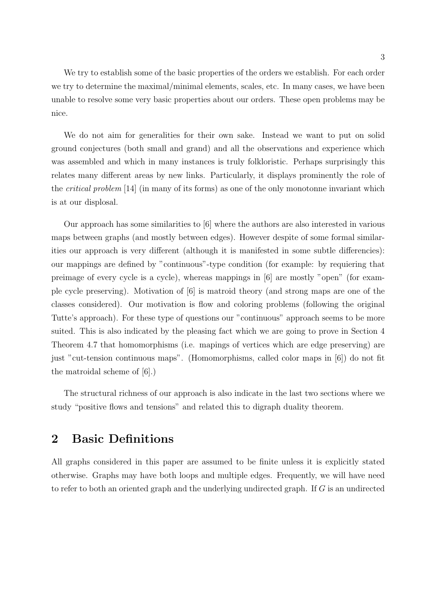We try to establish some of the basic properties of the orders we establish. For each order we try to determine the maximal/minimal elements, scales, etc. In many cases, we have been unable to resolve some very basic properties about our orders. These open problems may be nice.

We do not aim for generalities for their own sake. Instead we want to put on solid ground conjectures (both small and grand) and all the observations and experience which was assembled and which in many instances is truly folkloristic. Perhaps surprisingly this relates many different areas by new links. Particularly, it displays prominently the role of the critical problem [14] (in many of its forms) as one of the only monotonne invariant which is at our displosal.

Our approach has some similarities to [6] where the authors are also interested in various maps between graphs (and mostly between edges). However despite of some formal similarities our approach is very different (although it is manifested in some subtle differencies): our mappings are defined by "continuous"-type condition (for example: by requiering that preimage of every cycle is a cycle), whereas mappings in [6] are mostly "open" (for example cycle preserving). Motivation of [6] is matroid theory (and strong maps are one of the classes considered). Our motivation is flow and coloring problems (following the original Tutte's approach). For these type of questions our "continuous" approach seems to be more suited. This is also indicated by the pleasing fact which we are going to prove in Section 4 Theorem 4.7 that homomorphisms (i.e. mapings of vertices which are edge preserving) are just "cut-tension continuous maps". (Homomorphisms, called color maps in [6]) do not fit the matroidal scheme of [6].)

The structural richness of our approach is also indicate in the last two sections where we study "positive flows and tensions" and related this to digraph duality theorem.

## 2 Basic Definitions

All graphs considered in this paper are assumed to be finite unless it is explicitly stated otherwise. Graphs may have both loops and multiple edges. Frequently, we will have need to refer to both an oriented graph and the underlying undirected graph. If  $G$  is an undirected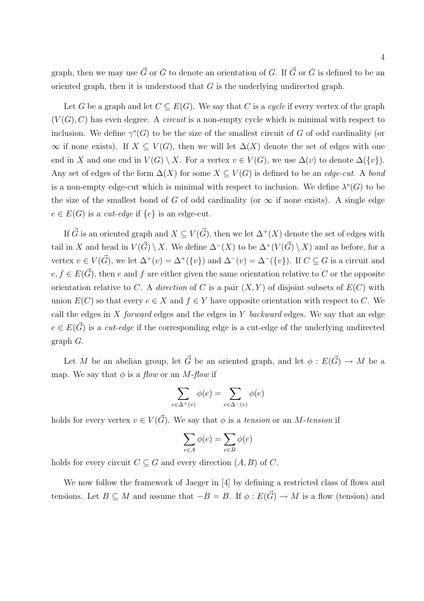graph, then we may use  $\vec{G}$  or  $\check{G}$  to denote an orientation of G. If  $\vec{G}$  or  $\check{G}$  is defined to be an oriented graph, then it is understood that  $G$  is the underlying undirected graph.

Let G be a graph and let  $C \subseteq E(G)$ . We say that C is a cycle if every vertex of the graph  $(V(G), C)$  has even degree. A *circuit* is a non-empty cycle which is minimal with respect to inclusion. We define  $\gamma^{o}(G)$  to be the size of the smallest circuit of G of odd cardinality (or  $\infty$  if none exists). If  $X \subseteq V(G)$ , then we will let  $\Delta(X)$  denote the set of edges with one end in X and one end in  $V(G) \setminus X$ . For a vertex  $v \in V(G)$ , we use  $\Delta(v)$  to denote  $\Delta({v})$ . Any set of edges of the form  $\Delta(X)$  for some  $X \subseteq V(G)$  is defined to be an *edge-cut.* A bond is a non-empty edge-cut which is minimal with respect to inclusion. We define  $\lambda^o(G)$  to be the size of the smallest bond of G of odd cardinality (or  $\infty$  if none exists). A single edge  $e \in E(G)$  is a *cut-edge* if  $\{e\}$  is an edge-cut.

If  $\vec{G}$  is an oriented graph and  $X \subseteq V(\vec{G})$ , then we let  $\Delta^{+}(X)$  denote the set of edges with tail in X and head in  $V(\vec{G}) \setminus X$ . We define  $\Delta^{-}(X)$  to be  $\Delta^{+}(V(\vec{G}) \setminus X)$  and as before, for a vertex  $v \in V(\vec{G})$ , we let  $\Delta^+(v) = \Delta^+(\{v\})$  and  $\Delta^-(v) = \Delta^-(\{v\})$ . If  $C \subseteq G$  is a circuit and  $e, f \in E(\vec{G})$ , then e and f are either given the same orientation relative to C or the opposite orientation relative to C. A direction of C is a pair  $(X, Y)$  of disjoint subsets of  $E(C)$  with union  $E(C)$  so that every  $e \in X$  and  $f \in Y$  have opposite orientation with respect to C. We call the edges in X forward edges and the edges in Y backward edges. We say that an edge  $e \in E(\vec{G})$  is a cut-edge if the corresponding edge is a cut-edge of the underlying undirected graph G.

Let M be an abelian group, let  $\vec{G}$  be an oriented graph, and let  $\phi : E(\vec{G}) \to M$  be a map. We say that  $\phi$  is a flow or an M-flow if

$$
\sum_{e \in \Delta^+(v)} \phi(e) = \sum_{e \in \Delta^-(v)} \phi(e)
$$

holds for every vertex  $v \in V(\vec{G})$ . We say that  $\phi$  is a tension or an M-tension if

$$
\sum_{e \in A} \phi(e) = \sum_{e \in B} \phi(e)
$$

holds for every circuit  $C \subseteq G$  and every direction  $(A, B)$  of C.

We now follow the framework of Jaeger in [4] by defining a restricted class of flows and tensions. Let  $B \subseteq M$  and assume that  $-B = B$ . If  $\phi : E(\vec{G}) \to M$  is a flow (tension) and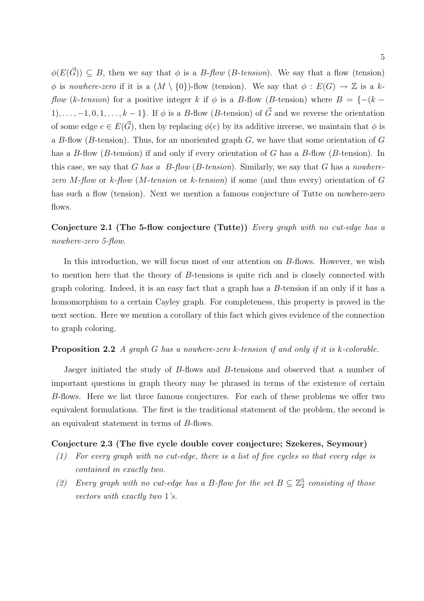$\phi(E(\vec{G})) \subseteq B$ , then we say that  $\phi$  is a B-flow (B-tension). We say that a flow (tension) φ is nowhere-zero if it is a  $(M \setminus \{0\})$ -flow (tension). We say that  $\phi : E(G) \to \mathbb{Z}$  is a k*flow (k-tension)* for a positive integer k if  $\phi$  is a B-flow (B-tension) where  $B = \{-(k -$ 1), ...,  $-1, 0, 1, \ldots, k-1$ . If  $\phi$  is a B-flow (B-tension) of  $\vec{G}$  and we reverse the orientation of some edge  $e \in E(\vec{G})$ , then by replacing  $\phi(e)$  by its additive inverse, we maintain that  $\phi$  is a B-flow (B-tension). Thus, for an unoriented graph  $G$ , we have that some orientation of  $G$ has a B-flow (B-tension) if and only if every orientation of G has a B-flow (B-tension). In this case, we say that G has a  $B$ -flow (B-tension). Similarly, we say that G has a nowherezero M-flow or k-flow (M-tension or k-tension) if some (and thus every) orientation of  $G$ has such a flow (tension). Next we mention a famous conjecture of Tutte on nowhere-zero flows.

Conjecture 2.1 (The 5-flow conjecture (Tutte)) Every graph with no cut-edge has a nowhere-zero 5-flow.

In this introduction, we will focus most of our attention on B-flows. However, we wish to mention here that the theory of B-tensions is quite rich and is closely connected with graph coloring. Indeed, it is an easy fact that a graph has a  $B$ -tension if an only if it has a homomorphism to a certain Cayley graph. For completeness, this property is proved in the next section. Here we mention a corollary of this fact which gives evidence of the connection to graph coloring.

### Proposition 2.2 A graph G has a nowhere-zero k-tension if and only if it is k-colorable.

Jaeger initiated the study of B-flows and B-tensions and observed that a number of important questions in graph theory may be phrased in terms of the existence of certain B-flows. Here we list three famous conjectures. For each of these problems we offer two equivalent formulations. The first is the traditional statement of the problem, the second is an equivalent statement in terms of B-flows.

### Conjecture 2.3 (The five cycle double cover conjecture; Szekeres, Seymour)

- (1) For every graph with no cut-edge, there is a list of five cycles so that every edge is contained in exactly two.
- (2) Every graph with no cut-edge has a B-flow for the set  $B \subseteq \mathbb{Z}_2^5$  consisting of those vectors with exactly two 1's.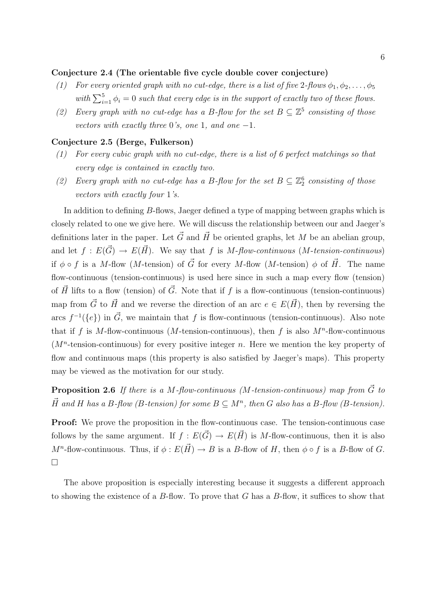### Conjecture 2.4 (The orientable five cycle double cover conjecture)

- (1) For every oriented graph with no cut-edge, there is a list of five 2-flows  $\phi_1, \phi_2, \ldots, \phi_5$ with  $\sum_{i=1}^{5} \phi_i = 0$  such that every edge is in the support of exactly two of these flows.
- (2) Every graph with no cut-edge has a B-flow for the set  $B \subseteq \mathbb{Z}^5$  consisting of those vectors with exactly three 0's, one 1, and one  $-1$ .

### Conjecture 2.5 (Berge, Fulkerson)

- (1) For every cubic graph with no cut-edge, there is a list of 6 perfect matchings so that every edge is contained in exactly two.
- (2) Every graph with no cut-edge has a B-flow for the set  $B \subseteq \mathbb{Z}_2^6$  consisting of those vectors with exactly four 1's.

In addition to defining B-flows, Jaeger defined a type of mapping between graphs which is closely related to one we give here. We will discuss the relationship between our and Jaeger's definitions later in the paper. Let  $\vec{G}$  and  $\vec{H}$  be oriented graphs, let M be an abelian group, and let  $f : E(\vec{G}) \to E(\vec{H})$ . We say that f is M-flow-continuous (M-tension-continuous) if  $\phi \circ f$  is a M-flow (M-tension) of  $\vec{G}$  for every M-flow (M-tension)  $\phi$  of  $\vec{H}$ . The name flow-continuous (tension-continuous) is used here since in such a map every flow (tension) of  $\vec{H}$  lifts to a flow (tension) of  $\vec{G}$ . Note that if f is a flow-continuous (tension-continuous) map from  $\vec{G}$  to  $\vec{H}$  and we reverse the direction of an arc  $e \in E(\vec{H})$ , then by reversing the arcs  $f^{-1}(\{e\})$  in  $\vec{G}$ , we maintain that f is flow-continuous (tension-continuous). Also note that if f is M-flow-continuous (M-tension-continuous), then f is also  $M^n$ -flow-continuous  $(M<sup>n</sup>$ -tension-continuous) for every positive integer n. Here we mention the key property of flow and continuous maps (this property is also satisfied by Jaeger's maps). This property may be viewed as the motivation for our study.

**Proposition 2.6** If there is a M-flow-continuous (M-tension-continuous) map from  $\vec{G}$  to  $\vec{H}$  and H has a B-flow (B-tension) for some  $B \subseteq M^n$ , then G also has a B-flow (B-tension).

**Proof:** We prove the proposition in the flow-continuous case. The tension-continuous case follows by the same argument. If  $f : E(\vec{G}) \to E(\vec{H})$  is M-flow-continuous, then it is also  $M^n$ -flow-continuous. Thus, if  $\phi: E(\vec{H}) \to B$  is a B-flow of H, then  $\phi \circ f$  is a B-flow of G.  $\Box$ 

The above proposition is especially interesting because it suggests a different approach to showing the existence of a  $B$ -flow. To prove that G has a  $B$ -flow, it suffices to show that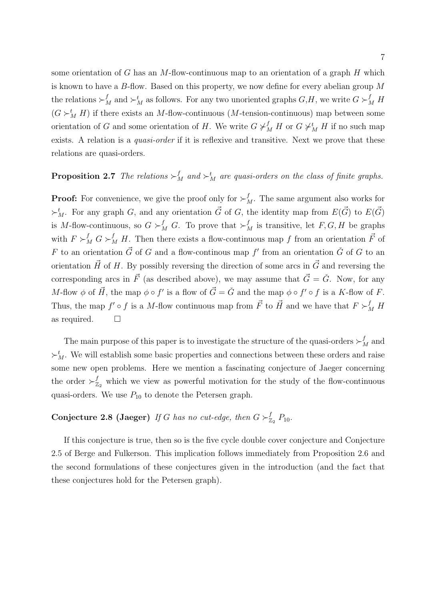some orientation of G has an M-flow-continuous map to an orientation of a graph  $H$  which is known to have a B-flow. Based on this property, we now define for every abelian group M the relations  $\succ_M^f$  and  $\succ_M^t$  as follows. For any two unoriented graphs  $G,H$ , we write  $G\succ_M^fH$  $(G \succ_M^t H)$  if there exists an M-flow-continuous (M-tension-continuous) map between some orientation of G and some orientation of H. We write  $G \not\succ_M^f H$  or  $G \not\succ_M^t H$  if no such map exists. A relation is a *quasi-order* if it is reflexive and transitive. Next we prove that these relations are quasi-orders.

## **Proposition 2.7** The relations  $\succ^f_M$  and  $\succ^t_M$  are quasi-orders on the class of finite graphs.

**Proof:** For convenience, we give the proof only for  $\succ^f_M$ . The same argument also works for  $\succ^t_M$ . For any graph G, and any orientation  $\vec{G}$  of G, the identity map from  $E(\vec{G})$  to  $E(\vec{G})$ is M-flow-continuous, so  $G \succ_M^f G$ . To prove that  $\succ_M^f$  is transitive, let  $F, G, H$  be graphs with  $F \succ_M^f G \succ_M^f H$ . Then there exists a flow-continuous map f from an orientation  $\vec{F}$  of F to an orientation  $\vec{G}$  of G and a flow-continous map f' from an orientation  $\check{G}$  of G to an orientation  $\vec{H}$  of H. By possibly reversing the direction of some arcs in  $\vec{G}$  and reversing the corresponding arcs in  $\vec{F}$  (as described above), we may assume that  $\vec{G} = \check{G}$ . Now, for any M-flow  $\phi$  of  $\vec{H}$ , the map  $\phi \circ f'$  is a flow of  $\vec{G} = \check{G}$  and the map  $\phi \circ f' \circ f$  is a K-flow of F. Thus, the map  $f' \circ f$  is a M-flow continuous map from  $\vec{F}$  to  $\vec{H}$  and we have that  $F \succ_M^f H$ as required.  $\square$ 

The main purpose of this paper is to investigate the structure of the quasi-orders  $\succ_M^f$  and  $\succ^t_M$ . We will establish some basic properties and connections between these orders and raise some new open problems. Here we mention a fascinating conjecture of Jaeger concerning the order  $\succ^f_{\mathbb{Z}}$  $Z_2$  which we view as powerful motivation for the study of the flow-continuous quasi-orders. We use  $P_{10}$  to denote the Petersen graph.

### Conjecture 2.8 (Jaeger) If G has no cut-edge, then  $G \succ_{\mathbb{Z}}^f$  $_{\mathbb{Z}_2}^f$   $P_{10}$ .

If this conjecture is true, then so is the five cycle double cover conjecture and Conjecture 2.5 of Berge and Fulkerson. This implication follows immediately from Proposition 2.6 and the second formulations of these conjectures given in the introduction (and the fact that these conjectures hold for the Petersen graph).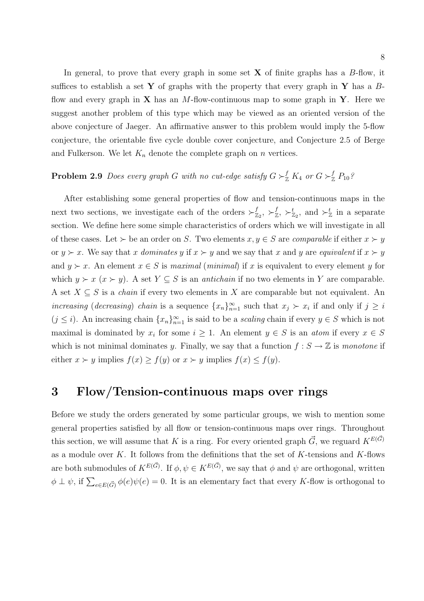In general, to prove that every graph in some set  $X$  of finite graphs has a  $B$ -flow, it suffices to establish a set Y of graphs with the property that every graph in Y has a  $B$ flow and every graph in **X** has an M-flow-continuous map to some graph in **Y**. Here we suggest another problem of this type which may be viewed as an oriented version of the above conjecture of Jaeger. An affirmative answer to this problem would imply the 5-flow conjecture, the orientable five cycle double cover conjecture, and Conjecture 2.5 of Berge and Fulkerson. We let  $K_n$  denote the complete graph on n vertices.

## **Problem 2.9** Does every graph G with no cut-edge satisfy  $G \succ_{\mathbb{Z}}^f K_4$  or  $G \succ_{\mathbb{Z}}^f P_{10}$ ?

After establishing some general properties of flow and tension-continuous maps in the next two sections, we investigate each of the orders  $\succ^f_{\mathbb{Z}}$  $^f_{\mathbb{Z}_2},\succ^f_{\mathbb{Z}}$  $y_{\mathbb{Z}}^f$ ,  $\succ_{\mathbb{Z}_2}^t$ , and  $\succ_{\mathbb{Z}}^t$  in a separate section. We define here some simple characteristics of orders which we will investigate in all of these cases. Let  $\succ$  be an order on S. Two elements  $x, y \in S$  are comparable if either  $x \succ y$ or  $y \succ x$ . We say that x dominates y if  $x \succ y$  and we say that x and y are equivalent if  $x \succ y$ and  $y \succ x$ . An element  $x \in S$  is maximal (minimal) if x is equivalent to every element y for which  $y \succ x$  ( $x \succ y$ ). A set  $Y \subseteq S$  is an *antichain* if no two elements in Y are comparable. A set  $X \subseteq S$  is a *chain* if every two elements in X are comparable but not equivalent. An increasing (decreasing) chain is a sequence  $\{x_n\}_{n=1}^{\infty}$  such that  $x_j \succ x_i$  if and only if  $j \geq i$  $(j \leq i)$ . An increasing chain  $\{x_n\}_{n=1}^{\infty}$  is said to be a *scaling* chain if every  $y \in S$  which is not maximal is dominated by  $x_i$  for some  $i \geq 1$ . An element  $y \in S$  is an *atom* if every  $x \in S$ which is not minimal dominates y. Finally, we say that a function  $f : S \to \mathbb{Z}$  is monotone if either  $x \succ y$  implies  $f(x) \ge f(y)$  or  $x \succ y$  implies  $f(x) \le f(y)$ .

## 3 Flow/Tension-continuous maps over rings

Before we study the orders generated by some particular groups, we wish to mention some general properties satisfied by all flow or tension-continuous maps over rings. Throughout this section, we will assume that K is a ring. For every oriented graph  $\vec{G}$ , we reguard  $K^{E(\vec{G})}$ as a module over K. It follows from the definitions that the set of K-tensions and K-flows are both submodules of  $K^{E(\vec{G})}$ . If  $\phi, \psi \in K^{E(\vec{G})}$ , we say that  $\phi$  and  $\psi$  are orthogonal, written  $\phi \perp \psi$ , if  $\sum_{e \in E(\vec{G})} \phi(e)\psi(e) = 0$ . It is an elementary fact that every K-flow is orthogonal to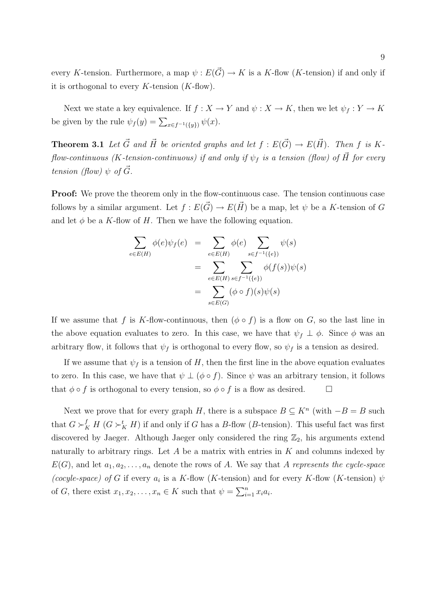every K-tension. Furthermore, a map  $\psi: E(\vec{G}) \to K$  is a K-flow (K-tension) if and only if it is orthogonal to every  $K$ -tension  $(K$ -flow).

Next we state a key equivalence. If  $f : X \to Y$  and  $\psi : X \to K$ , then we let  $\psi_f : Y \to K$ be given by the rule  $\psi_f(y) = \sum_{x \in f^{-1}(\{y\})} \psi(x)$ .

**Theorem 3.1** Let  $\vec{G}$  and  $\vec{H}$  be oriented graphs and let  $f : E(\vec{G}) \to E(\vec{H})$ . Then f is Kflow-continuous (K-tension-continuous) if and only if  $\psi_f$  is a tension (flow) of  $\vec{H}$  for every tension (flow)  $\psi$  of  $\ddot{G}$ .

**Proof:** We prove the theorem only in the flow-continuous case. The tension continuous case follows by a similar argument. Let  $f : E(\vec{G}) \to E(\vec{H})$  be a map, let  $\psi$  be a K-tension of G and let  $\phi$  be a K-flow of H. Then we have the following equation.

$$
\sum_{e \in E(H)} \phi(e)\psi_f(e) = \sum_{e \in E(H)} \phi(e) \sum_{s \in f^{-1}(\{e\})} \psi(s)
$$

$$
= \sum_{e \in E(H)} \sum_{s \in f^{-1}(\{e\})} \phi(f(s))\psi(s)
$$

$$
= \sum_{s \in E(G)} (\phi \circ f)(s)\psi(s)
$$

If we assume that f is K-flow-continuous, then  $(\phi \circ f)$  is a flow on G, so the last line in the above equation evaluates to zero. In this case, we have that  $\psi_f \perp \phi$ . Since  $\phi$  was an arbitrary flow, it follows that  $\psi_f$  is orthogonal to every flow, so  $\psi_f$  is a tension as desired.

If we assume that  $\psi_f$  is a tension of H, then the first line in the above equation evaluates to zero. In this case, we have that  $\psi \perp (\phi \circ f)$ . Since  $\psi$  was an arbitrary tension, it follows that  $\phi \circ f$  is orthogonal to every tension, so  $\phi \circ f$  is a flow as desired.  $\Box$ 

Next we prove that for every graph H, there is a subspace  $B \subseteq K^n$  (with  $-B = B$  such that  $G \succ_K^f H$  ( $G \succ_K^t H$ ) if and only if G has a B-flow (B-tension). This useful fact was first discovered by Jaeger. Although Jaeger only considered the ring  $\mathbb{Z}_2$ , his arguments extend naturally to arbitrary rings. Let  $A$  be a matrix with entries in  $K$  and columns indexed by  $E(G)$ , and let  $a_1, a_2, \ldots, a_n$  denote the rows of A. We say that A represents the cycle-space (cocyle-space) of G if every  $a_i$  is a K-flow (K-tension) and for every K-flow (K-tension)  $\psi$ of G, there exist  $x_1, x_2, \ldots, x_n \in K$  such that  $\psi = \sum_{i=1}^n$  $\sum_{i=1}^n x_i a_i.$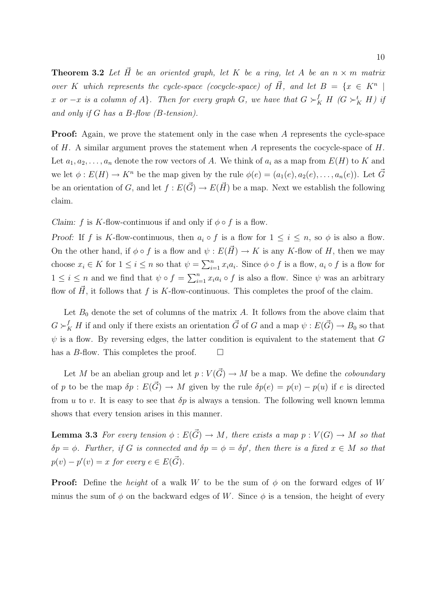**Theorem 3.2** Let  $\vec{H}$  be an oriented graph, let K be a ring, let A be an  $n \times m$  matrix over K which represents the cycle-space (cocycle-space) of  $\vec{H}$ , and let  $B = \{x \in K^n \mid$ x or  $-x$  is a column of A}. Then for every graph G, we have that  $G \succ_K^f H$  ( $G \succ_K^t H$ ) if and only if G has a B-flow (B-tension).

**Proof:** Again, we prove the statement only in the case when A represents the cycle-space of H. A similar argument proves the statement when A represents the cocycle-space of  $H$ . Let  $a_1, a_2, \ldots, a_n$  denote the row vectors of A. We think of  $a_i$  as a map from  $E(H)$  to K and we let  $\phi : E(H) \to K^n$  be the map given by the rule  $\phi(e) = (a_1(e), a_2(e), \ldots, a_n(e))$ . Let  $\vec{G}$ be an orientation of G, and let  $f : E(\vec{G}) \to E(\vec{H})$  be a map. Next we establish the following claim.

Claim: f is K-flow-continuous if and only if  $\phi \circ f$  is a flow.

Proof: If f is K-flow-continuous, then  $a_i \circ f$  is a flow for  $1 \leq i \leq n$ , so  $\phi$  is also a flow. On the other hand, if  $\phi \circ f$  is a flow and  $\psi : E(\vec{H}) \to K$  is any K-flow of H, then we may choose  $x_i \in K$  for  $1 \leq i \leq n$  so that  $\psi = \sum_{i=1}^n$  $_{i=1}^{n} x_i a_i$ . Since  $\phi \circ f$  is a flow,  $a_i \circ f$  is a flow for  $1 \leq i \leq n$  and we find that  $\psi \circ f = \sum_{i=1}^{n}$  $\sum_{i=1}^{n} x_i a_i \circ f$  is also a flow. Since  $\psi$  was an arbitrary flow of  $\vec{H}$ , it follows that f is K-flow-continuous. This completes the proof of the claim.

Let  $B_0$  denote the set of columns of the matrix A. It follows from the above claim that  $G \succ_K^f H$  if and only if there exists an orientation  $\vec{G}$  of G and a map  $\psi : E(\vec{G}) \to B_0$  so that  $\psi$  is a flow. By reversing edges, the latter condition is equivalent to the statement that G has a B-flow. This completes the proof.  $\Box$ 

Let M be an abelian group and let  $p: V(\vec{G}) \to M$  be a map. We define the *coboundary* of p to be the map  $\delta p : E(\vec{G}) \to M$  given by the rule  $\delta p(e) = p(v) - p(u)$  if e is directed from u to v. It is easy to see that  $\delta p$  is always a tension. The following well known lemma shows that every tension arises in this manner.

**Lemma 3.3** For every tension  $\phi : E(\vec{G}) \to M$ , there exists a map  $p : V(G) \to M$  so that  $\delta p = \phi$ . Further, if G is connected and  $\delta p = \phi = \delta p'$ , then there is a fixed  $x \in M$  so that  $p(v) - p'(v) = x$  for every  $e \in E(\vec{G}).$ 

**Proof:** Define the *height* of a walk W to be the sum of  $\phi$  on the forward edges of W minus the sum of  $\phi$  on the backward edges of W. Since  $\phi$  is a tension, the height of every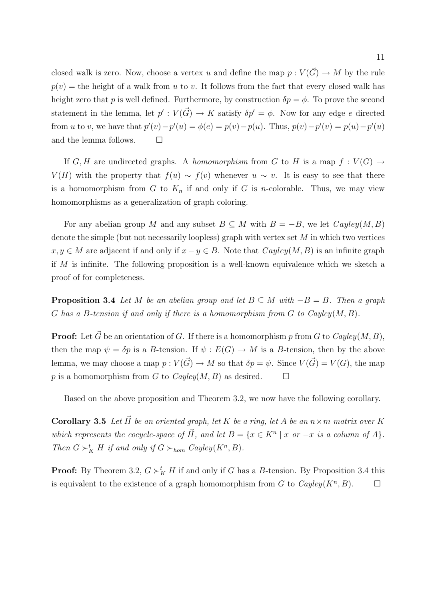closed walk is zero. Now, choose a vertex u and define the map  $p : V(\vec{G}) \to M$  by the rule  $p(v)$  = the height of a walk from u to v. It follows from the fact that every closed walk has height zero that p is well defined. Furthermore, by construction  $\delta p = \phi$ . To prove the second statement in the lemma, let  $p': V(\vec{G}) \to K$  satisfy  $\delta p' = \phi$ . Now for any edge e directed from u to v, we have that  $p'(v) - p'(u) = \phi(e) = p(v) - p(u)$ . Thus,  $p(v) - p'(v) = p(u) - p'(u)$ and the lemma follows.  $\Box$ 

If G, H are undirected graphs. A homomorphism from G to H is a map  $f: V(G) \to$  $V(H)$  with the property that  $f(u) \sim f(v)$  whenever  $u \sim v$ . It is easy to see that there is a homomorphism from  $G$  to  $K_n$  if and only if  $G$  is *n*-colorable. Thus, we may view homomorphisms as a generalization of graph coloring.

For any abelian group M and any subset  $B \subseteq M$  with  $B = -B$ , we let  $Cayley(M, B)$ denote the simple (but not necessarily loopless) graph with vertex set  $M$  in which two vertices  $x, y \in M$  are adjacent if and only if  $x - y \in B$ . Note that  $Cayley(M, B)$  is an infinite graph if M is infinite. The following proposition is a well-known equivalence which we sketch a proof of for completeness.

**Proposition 3.4** Let M be an abelian group and let  $B \subseteq M$  with  $-B = B$ . Then a graph G has a B-tension if and only if there is a homomorphism from  $G$  to  $Cayley(M, B)$ .

**Proof:** Let  $\vec{G}$  be an orientation of G. If there is a homomorphism p from G to Cayley(M, B), then the map  $\psi = \delta p$  is a B-tension. If  $\psi : E(G) \to M$  is a B-tension, then by the above lemma, we may choose a map  $p : V(\overline{G}) \to M$  so that  $\delta p = \psi$ . Since  $V(\overline{G}) = V(G)$ , the map p is a homomorphism from G to  $Cayley(M, B)$  as desired.

Based on the above proposition and Theorem 3.2, we now have the following corollary.

Corollary 3.5 Let  $\vec{H}$  be an oriented graph, let K be a ring, let A be an  $n \times m$  matrix over K which represents the cocycle-space of  $\vec{H}$ , and let  $B = \{x \in K^n \mid x \text{ or } -x \text{ is a column of } A\}.$ Then  $G \succ_K^t H$  if and only if  $G \succ_{hom} Cayley(K^n, B)$ .

**Proof:** By Theorem 3.2,  $G \succ_K^t H$  if and only if G has a B-tension. By Proposition 3.4 this is equivalent to the existence of a graph homomorphism from G to  $Cayley(K^n, B)$ .  $\Box$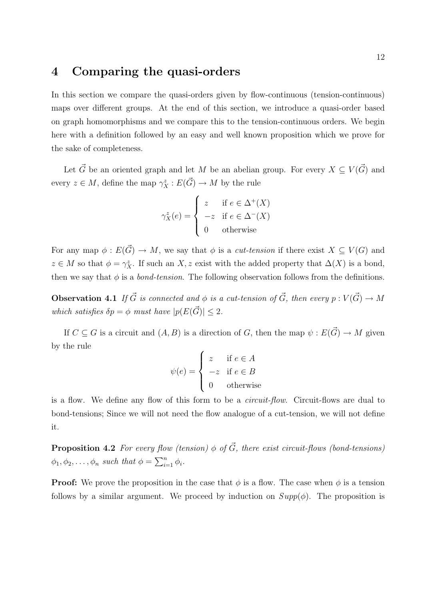## 4 Comparing the quasi-orders

In this section we compare the quasi-orders given by flow-continuous (tension-continuous) maps over different groups. At the end of this section, we introduce a quasi-order based on graph homomorphisms and we compare this to the tension-continuous orders. We begin here with a definition followed by an easy and well known proposition which we prove for the sake of completeness.

Let  $\vec{G}$  be an oriented graph and let M be an abelian group. For every  $X \subseteq V(\vec{G})$  and every  $z \in M$ , define the map  $\gamma_X^z : E(\vec{G}) \to M$  by the rule

$$
\gamma_X^z(e) = \begin{cases} z & \text{if } e \in \Delta^+(X) \\ -z & \text{if } e \in \Delta^-(X) \\ 0 & \text{otherwise} \end{cases}
$$

For any map  $\phi : E(\vec{G}) \to M$ , we say that  $\phi$  is a *cut-tension* if there exist  $X \subseteq V(G)$  and  $z \in M$  so that  $\phi = \gamma_X^z$ . If such an X, z exist with the added property that  $\Delta(X)$  is a bond, then we say that  $\phi$  is a *bond-tension*. The following observation follows from the definitions.

**Observation 4.1** If  $\vec{G}$  is connected and  $\phi$  is a cut-tension of  $\vec{G}$ , then every  $p : V(\vec{G}) \to M$ which satisfies  $\delta p = \phi$  must have  $|p(E(\vec{G}))| \leq 2$ .

If  $C \subseteq G$  is a circuit and  $(A, B)$  is a direction of G, then the map  $\psi : E(\vec{G}) \to M$  given by the rule  $\overline{a}$ 

$$
\psi(e) = \begin{cases}\nz & \text{if } e \in A \\
-z & \text{if } e \in B \\
0 & \text{otherwise}\n\end{cases}
$$

is a flow. We define any flow of this form to be a circuit-flow. Circuit-flows are dual to bond-tensions; Since we will not need the flow analogue of a cut-tension, we will not define it.

**Proposition 4.2** For every flow (tension)  $\phi$  of  $\vec{G}$ , there exist circuit-flows (bond-tensions)  $\phi_1, \phi_2, \ldots, \phi_n$  such that  $\phi = \sum_{i=1}^n$  $\sum_{i=1}^n \phi_i$ .

**Proof:** We prove the proposition in the case that  $\phi$  is a flow. The case when  $\phi$  is a tension follows by a similar argument. We proceed by induction on  $Supp(\phi)$ . The proposition is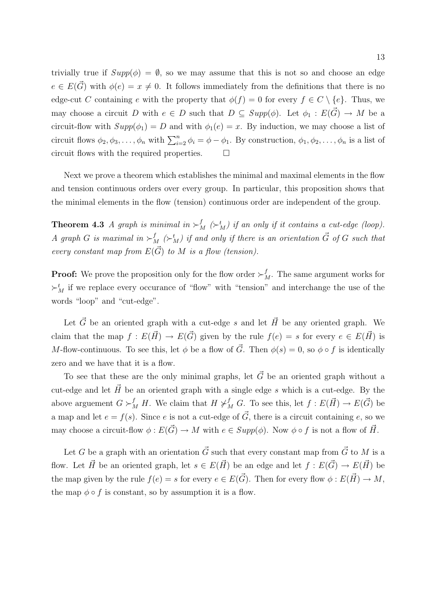trivially true if  $Supp(\phi) = \emptyset$ , so we may assume that this is not so and choose an edge  $e \in E(\vec{G})$  with  $\phi(e) = x \neq 0$ . It follows immediately from the definitions that there is no edge-cut C containing e with the property that  $\phi(f) = 0$  for every  $f \in C \setminus \{e\}$ . Thus, we may choose a circuit D with  $e \in D$  such that  $D \subseteq Supp(\phi)$ . Let  $\phi_1 : E(\vec{G}) \to M$  be a circuit-flow with  $Supp(\phi_1) = D$  and with  $\phi_1(e) = x$ . By induction, we may choose a list of circuit flows  $\phi_2, \phi_3, \ldots, \phi_n$  with  $\sum_{i=2}^n \phi_i = \phi - \phi_1$ . By construction,  $\phi_1, \phi_2, \ldots, \phi_n$  is a list of circuit flows with the required properties.  $\Box$ 

Next we prove a theorem which establishes the minimal and maximal elements in the flow and tension continuous orders over every group. In particular, this proposition shows that the minimal elements in the flow (tension) continuous order are independent of the group.

**Theorem 4.3** A graph is minimal in  $\succ^f_M (\succ^t_M)$  if an only if it contains a cut-edge (loop). A graph G is maximal in  $\succ^f_M(\succ^t_M)$  if and only if there is an orientation  $\vec{G}$  of G such that every constant map from  $E(\vec{G})$  to M is a flow (tension).

**Proof:** We prove the proposition only for the flow order  $\succ^f_M$ . The same argument works for  $\succ_M^t$  if we replace every occurance of "flow" with "tension" and interchange the use of the words "loop" and "cut-edge".

Let  $\vec{G}$  be an oriented graph with a cut-edge s and let  $\vec{H}$  be any oriented graph. We claim that the map  $f : E(\vec{H}) \to E(\vec{G})$  given by the rule  $f(e) = s$  for every  $e \in E(\vec{H})$  is M-flow-continuous. To see this, let  $\phi$  be a flow of  $\vec{G}$ . Then  $\phi(s) = 0$ , so  $\phi \circ f$  is identically zero and we have that it is a flow.

To see that these are the only minimal graphs, let  $\vec{G}$  be an oriented graph without a cut-edge and let  $\vec{H}$  be an oriented graph with a single edge s which is a cut-edge. By the above arguement  $G \succ_M^f H$ . We claim that  $H \not\succ_M^f G$ . To see this, let  $f : E(\vec{H}) \to E(\vec{G})$  be a map and let  $e = f(s)$ . Since e is not a cut-edge of  $\vec{G}$ , there is a circuit containing e, so we may choose a circuit-flow  $\phi : E(\vec{G}) \to M$  with  $e \in Supp(\phi)$ . Now  $\phi \circ f$  is not a flow of  $\vec{H}$ .

Let G be a graph with an orientation  $\vec{G}$  such that every constant map from  $\vec{G}$  to M is a flow. Let  $\vec{H}$  be an oriented graph, let  $s \in E(\vec{H})$  be an edge and let  $f : E(\vec{G}) \to E(\vec{H})$  be the map given by the rule  $f(e) = s$  for every  $e \in E(\vec{G})$ . Then for every flow  $\phi : E(\vec{H}) \to M$ , the map  $\phi \circ f$  is constant, so by assumption it is a flow.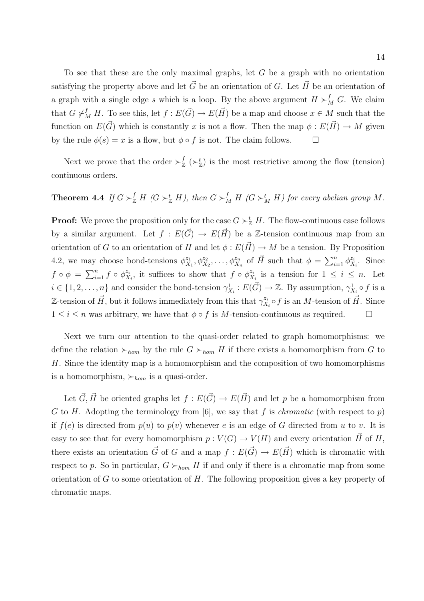To see that these are the only maximal graphs, let  $G$  be a graph with no orientation satisfying the property above and let  $\vec{G}$  be an orientation of G. Let  $\vec{H}$  be an orientation of a graph with a single edge s which is a loop. By the above argument  $H \succ_M^f G$ . We claim that  $G \not\vdash_M^f H$ . To see this, let  $f : E(\vec{G}) \to E(\vec{H})$  be a map and choose  $x \in M$  such that the function on  $E(\vec{G})$  which is constantly x is not a flow. Then the map  $\phi : E(\vec{H}) \to M$  given by the rule  $\phi(s) = x$  is a flow, but  $\phi \circ f$  is not. The claim follows.  $\Box$ 

Next we prove that the order  $\succ_{\mathbb{Z}}^f$  $\mathcal{L}^{f}_{\mathbb{Z}}\left(\succ_{\mathbb{Z}}^{t}\right)$  is the most restrictive among the flow (tension) continuous orders.

## **Theorem 4.4** If  $G \succ_{\mathbb{Z}}^f H$  ( $G \succ_{\mathbb{Z}}^t H$ ), then  $G \succ_M^f H$  ( $G \succ_M^t H$ ) for every abelian group M.

**Proof:** We prove the proposition only for the case  $G \succ_{\mathbb{Z}}^t H$ . The flow-continuous case follows by a similar argument. Let  $f : E(\vec{G}) \to E(\vec{H})$  be a Z-tension continuous map from an orientation of G to an orientation of H and let  $\phi : E(\vec{H}) \to M$  be a tension. By Proposition 4.2, we may choose bond-tensions  $\phi_X^{z_1}$  $\chi_{X_1}^{z_1}, \phi_{X_2}^{z_2}, \ldots, \phi_{X_n}^{z_n}$  of  $\vec{H}$  such that  $\phi = \sum_{i=1}^n$  $\sum_{i=1}^{n} \phi_{X}^{z_i}$  $\ddot{z}_i$ . Since  $f \circ \phi = \sum_{i=1}^n$  $\sum_{i=1}^n f \circ \phi_X^{z_i}$  $z_i^i$ , it suffices to show that  $f \circ \phi_X^{z_i}$  $\frac{z_i}{X_i}$  is a tension for  $1 \leq i \leq n$ . Let  $i \in \{1, 2, \ldots, n\}$  and consider the bond-tension  $\gamma_{X_i}^1 : E(\vec{G}) \to \mathbb{Z}$ . By assumption,  $\gamma_{X_i}^1 \circ f$  is a Z-tension of  $\vec{H}$ , but it follows immediately from this that  $\gamma_X^{z_i}$  $\zeta_{X_i}^{z_i} \circ f$  is an *M*-tension of  $\vec{H}$ . Since  $1 \leq i \leq n$  was arbitrary, we have that  $\phi \circ f$  is M-tension-continuous as required.  $\Box$ 

Next we turn our attention to the quasi-order related to graph homomorphisms: we define the relation  $\succ_{hom}$  by the rule  $G \succ_{hom} H$  if there exists a homomorphism from G to H. Since the identity map is a homomorphism and the composition of two homomorphisms is a homomorphism,  $\succ_{hom}$  is a quasi-order.

Let  $\vec{G}, \vec{H}$  be oriented graphs let  $f : E(\vec{G}) \to E(\vec{H})$  and let p be a homomorphism from G to H. Adopting the terminology from [6], we say that f is *chromatic* (with respect to p) if  $f(e)$  is directed from  $p(u)$  to  $p(v)$  whenever e is an edge of G directed from u to v. It is easy to see that for every homomorphism  $p: V(G) \to V(H)$  and every orientation  $\vec{H}$  of H, there exists an orientation  $\vec{G}$  of G and a map  $f : E(\vec{G}) \to E(\vec{H})$  which is chromatic with respect to p. So in particular,  $G \succ_{hom} H$  if and only if there is a chromatic map from some orientation of  $G$  to some orientation of  $H$ . The following proposition gives a key property of chromatic maps.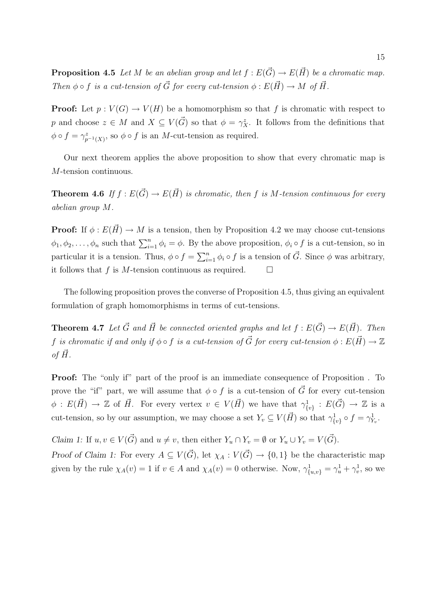**Proposition 4.5** Let M be an abelian group and let  $f : E(\vec{G}) \to E(\vec{H})$  be a chromatic map. Then  $\phi \circ f$  is a cut-tension of  $\vec{G}$  for every cut-tension  $\phi : E(\vec{H}) \to M$  of  $\vec{H}$ .

**Proof:** Let  $p: V(G) \to V(H)$  be a homomorphism so that f is chromatic with respect to p and choose  $z \in M$  and  $X \subseteq V(\vec{G})$  so that  $\phi = \gamma_X^z$ . It follows from the definitions that  $\phi \circ f = \gamma_{p^{-1}(X)}^z$ , so  $\phi \circ f$  is an *M*-cut-tension as required.

Our next theorem applies the above proposition to show that every chromatic map is M-tension continuous.

**Theorem 4.6** If  $f : E(\vec{G}) \to E(\vec{H})$  is chromatic, then f is M-tension continuous for every abelian group M.

**Proof:** If  $\phi: E(\vec{H}) \to M$  is a tension, then by Proposition 4.2 we may choose cut-tensions  $\phi_1, \phi_2, \ldots, \phi_n$  such that  $\sum_{i=1}^n \phi_i = \phi$ . By the above proposition,  $\phi_i \circ f$  is a cut-tension, so in particular it is a tension. Thus,  $\phi \circ f = \sum_{i=1}^{n} \phi_i \circ f$  is a tension of  $\vec{G}$ . Since  $\phi$  was arbitrary, it follows that f is M-tension continuous as required.  $\Box$ 

The following proposition proves the converse of Proposition 4.5, thus giving an equivalent formulation of graph homomorphisms in terms of cut-tensions.

**Theorem 4.7** Let  $\vec{G}$  and  $\vec{H}$  be connected oriented graphs and let  $f : E(\vec{G}) \to E(\vec{H})$ . Then f is chromatic if and only if  $\phi \circ f$  is a cut-tension of  $\vec{G}$  for every cut-tension  $\phi : E(\vec{H}) \to \mathbb{Z}$ of  $H$ .

**Proof:** The "only if" part of the proof is an immediate consequence of Proposition. To prove the "if" part, we will assume that  $\phi \circ f$  is a cut-tension of  $\vec{G}$  for every cut-tension  $\phi: E(\vec{H}) \to \mathbb{Z}$  of  $\vec{H}$ . For every vertex  $v \in V(\vec{H})$  we have that  $\gamma^1_{\{v\}}: E(\vec{G}) \to \mathbb{Z}$  is a cut-tension, so by our assumption, we may choose a set  $Y_v \subseteq V(\vec{H})$  so that  $\gamma_{\{v\}}^1 \circ f = \gamma_{Y_v}^1$ .

Claim 1: If  $u, v \in V(\vec{G})$  and  $u \neq v$ , then either  $Y_u \cap Y_v = \emptyset$  or  $Y_u \cup Y_v = V(\vec{G})$ .

Proof of Claim 1: For every  $A \subseteq V(\vec{G})$ , let  $\chi_A : V(\vec{G}) \to \{0,1\}$  be the characteristic map given by the rule  $\chi_A(v) = 1$  if  $v \in A$  and  $\chi_A(v) = 0$  otherwise. Now,  $\gamma_{\{u,v\}}^1 = \gamma_u^1 + \gamma_v^1$ , so we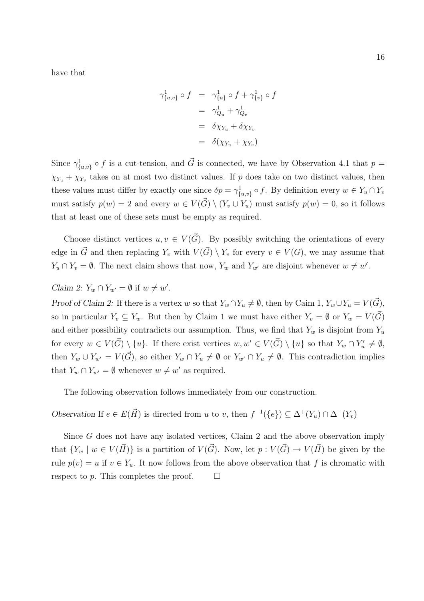have that

$$
\gamma_{\{u,v\}}^1 \circ f = \gamma_{\{u\}}^1 \circ f + \gamma_{\{v\}}^1 \circ f
$$
  
= 
$$
\gamma_{Q_u}^1 + \gamma_{Q_v}^1
$$
  
= 
$$
\delta \chi_{Y_u} + \delta \chi_{Y_v}
$$
  
= 
$$
\delta(\chi_{Y_u} + \chi_{Y_v})
$$

Since  $\gamma^1_{\{u,v\}} \circ f$  is a cut-tension, and  $\vec{G}$  is connected, we have by Observation 4.1 that  $p =$  $\chi_{Y_u} + \chi_{Y_v}$  takes on at most two distinct values. If p does take on two distinct values, then these values must differ by exactly one since  $\delta p = \gamma_{\{u,v\}}^1 \circ f$ . By definition every  $w \in Y_u \cap Y_v$ must satisfy  $p(w) = 2$  and every  $w \in V(\overrightarrow{G}) \setminus (Y_v \cup Y_u)$  must satisfy  $p(w) = 0$ , so it follows that at least one of these sets must be empty as required.

Choose distinct vertices  $u, v \in V(\vec{G})$ . By possibly switching the orientations of every edge in  $\vec{G}$  and then replacing Y<sub>v</sub> with  $V(\vec{G}) \setminus Y_v$  for every  $v \in V(G)$ , we may assume that  $Y_u \cap Y_v = \emptyset$ . The next claim shows that now,  $Y_w$  and  $Y_{w'}$  are disjoint whenever  $w \neq w'$ .

Claim 2:  $Y_w \cap Y_{w'} = \emptyset$  if  $w \neq w'$ .

Proof of Claim 2: If there is a vertex w so that  $Y_w \cap Y_u \neq \emptyset$ , then by Caim 1,  $Y_w \cup Y_u = V(\vec{G})$ , so in particular  $Y_v \subseteq Y_w$ . But then by Claim 1 we must have either  $Y_v = \emptyset$  or  $Y_w = V(\vec{G})$ and either possibility contradicts our assumption. Thus, we find that  $Y_w$  is disjoint from  $Y_u$ for every  $w \in V(\vec{G}) \setminus \{u\}$ . If there exist vertices  $w, w' \in V(\vec{G}) \setminus \{u\}$  so that  $Y_w \cap Y'_w \neq \emptyset$ , then  $Y_w \cup Y_{w'} = V(\vec{G})$ , so either  $Y_w \cap Y_u \neq \emptyset$  or  $Y_{w'} \cap Y_u \neq \emptyset$ . This contradiction implies that  $Y_w \cap Y_{w'} = \emptyset$  whenever  $w \neq w'$  as required.

The following observation follows immediately from our construction.

Observation If  $e \in E(\vec{H})$  is directed from u to v, then  $f^{-1}(\{e\}) \subseteq \Delta^+(Y_u) \cap \Delta^-(Y_v)$ 

Since G does not have any isolated vertices, Claim 2 and the above observation imply that  $\{Y_w \mid w \in V(\vec{H})\}$  is a partition of  $V(\vec{G})$ . Now, let  $p : V(\vec{G}) \to V(\vec{H})$  be given by the rule  $p(v) = u$  if  $v \in Y_u$ . It now follows from the above observation that f is chromatic with respect to p. This completes the proof.  $\Box$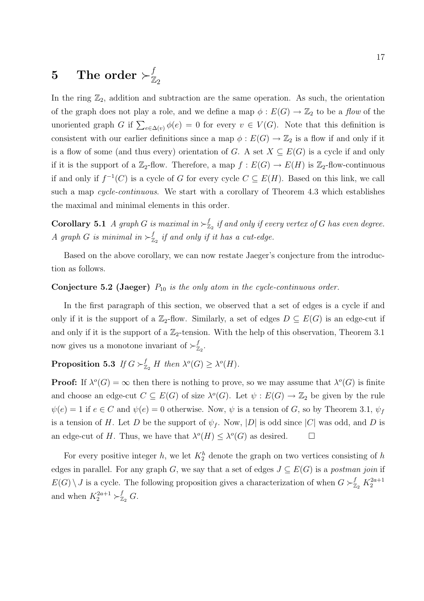## $5$  The order  $\succ^f_\mathbb{Z}$  $\mathbb{Z}_2$

In the ring  $\mathbb{Z}_2$ , addition and subtraction are the same operation. As such, the orientation of the graph does not play a role, and we define a map  $\phi : E(G) \to \mathbb{Z}_2$  to be a flow of the unoriented graph G if  $\sum_{e \in \Delta(v)} \phi(e) = 0$  for every  $v \in V(G)$ . Note that this definition is consistent with our earlier definitions since a map  $\phi: E(G) \to \mathbb{Z}_2$  is a flow if and only if it is a flow of some (and thus every) orientation of G. A set  $X \subseteq E(G)$  is a cycle if and only if it is the support of a  $\mathbb{Z}_2$ -flow. Therefore, a map  $f: E(G) \to E(H)$  is  $\mathbb{Z}_2$ -flow-continuous if and only if  $f^{-1}(C)$  is a cycle of G for every cycle  $C \subseteq E(H)$ . Based on this link, we call such a map *cycle-continuous*. We start with a corollary of Theorem 4.3 which establishes the maximal and minimal elements in this order.

**Corollary 5.1** A graph G is maximal in  $\succ^f_{\mathbb{Z}}$  $_{\mathbb{Z}_2}^{f}$  if and only if every vertex of  $G$  has even degree. A graph G is minimal in  $\succ^f_{\mathbb{Z}}$  $\frac{d}{dz}$  if and only if it has a cut-edge.

Based on the above corollary, we can now restate Jaeger's conjecture from the introduction as follows.

### **Conjecture 5.2 (Jaeger)**  $P_{10}$  is the only atom in the cycle-continuous order.

In the first paragraph of this section, we observed that a set of edges is a cycle if and only if it is the support of a  $\mathbb{Z}_2$ -flow. Similarly, a set of edges  $D \subseteq E(G)$  is an edge-cut if and only if it is the support of a  $\mathbb{Z}_2$ -tension. With the help of this observation, Theorem 3.1 now gives us a monotone invariant of  $\succ^f_{\mathbb{Z}}$  $_{\mathbb{Z}_2}^{\mathbb{\scriptscriptstyle{.}}}$ 

Proposition 5.3 If  $G \succ_{\mathbb{Z}_2}^f H$  then  $\lambda^o(G) \geq \lambda^o(H)$ .

**Proof:** If  $\lambda^o(G) = \infty$  then there is nothing to prove, so we may assume that  $\lambda^o(G)$  is finite and choose an edge-cut  $C \subseteq E(G)$  of size  $\lambda^{o}(G)$ . Let  $\psi : E(G) \to \mathbb{Z}_2$  be given by the rule  $\psi(e) = 1$  if  $e \in C$  and  $\psi(e) = 0$  otherwise. Now,  $\psi$  is a tension of G, so by Theorem 3.1,  $\psi_f$ is a tension of H. Let D be the support of  $\psi_f$ . Now, |D| is odd since |C| was odd, and D is an edge-cut of H. Thus, we have that  $\lambda^o(H) \leq \lambda^o(G)$  as desired.  $\Box$ 

For every positive integer h, we let  $K_2^h$  denote the graph on two vertices consisting of h edges in parallel. For any graph G, we say that a set of edges  $J \subseteq E(G)$  is a postman join if  $E(G) \setminus J$  is a cycle. The following proposition gives a characterization of when  $G \succ_{\mathbb{Z}_2}^f K_2^{2a+1}$ and when  $K_2^{2a+1} \succ_{\mathbb{Z}_2}^f G$ .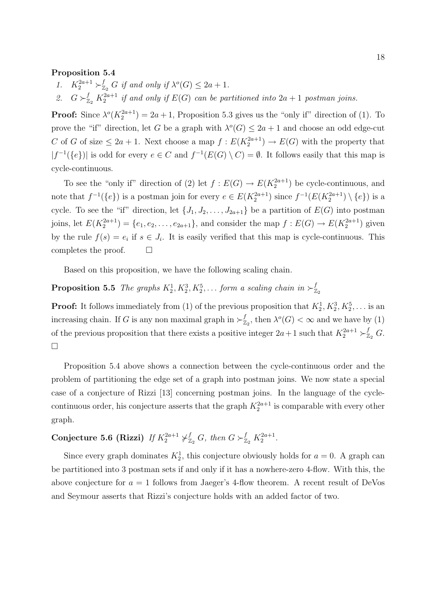### Proposition 5.4

- 1.  $K_2^{2a+1} \succ_{\mathbb{Z}_2}^f G$  if and only if  $\lambda^o(G) \leq 2a+1$ .
- 2.  $G \succ_{\mathbb{Z}_2}^f K_2^{2a+1}$  if and only if  $E(G)$  can be partitioned into  $2a+1$  postman joins.

**Proof:** Since  $\lambda^o(K_2^{2a+1}) = 2a+1$ , Proposition 5.3 gives us the "only if" direction of (1). To prove the "if" direction, let G be a graph with  $\lambda^o(G) \leq 2a + 1$  and choose an odd edge-cut C of G of size  $\leq 2a+1$ . Next choose a map  $f: E(K_2^{2a+1}) \to E(G)$  with the property that  $|f^{-1}(\{e\})|$  is odd for every  $e \in C$  and  $f^{-1}(E(G) \setminus C) = \emptyset$ . It follows easily that this map is cycle-continuous.

To see the "only if" direction of (2) let  $f: E(G) \to E(K_2^{2a+1})$  be cycle-continuous, and note that  $f^{-1}(\{e\})$  is a postman join for every  $e \in E(K_2^{2a+1})$  since  $f^{-1}(E(K_2^{2a+1}) \setminus \{e\})$  is a cycle. To see the "if" direction, let  $\{J_1, J_2, \ldots, J_{2a+1}\}$  be a partition of  $E(G)$  into postman joins, let  $E(K_2^{2a+1}) = \{e_1, e_2, \ldots, e_{2a+1}\}\$ , and consider the map  $f: E(G) \to E(K_2^{2a+1})$  given by the rule  $f(s) = e_i$  if  $s \in J_i$ . It is easily verified that this map is cycle-continuous. This completes the proof.  $\Box$ 

Based on this proposition, we have the following scaling chain.

### **Proposition 5.5** The graphs  $K_2^1, K_2^3, K_2^5, \ldots$  form a scaling chain in  $\succ^f_{\mathbb{Z}}$  $\mathbb{Z}_2$

**Proof:** It follows immediately from (1) of the previous proposition that  $K_2^1, K_2^3, K_2^5, \ldots$  is an increasing chain. If G is any non maximal graph in  $\succ^f_{\mathbb{Z}}$  $\int_{\mathbb{Z}_2}^f$ , then  $\lambda^o(G) < \infty$  and we have by (1) of the previous proposition that there exists a positive integer  $2a+1$  such that  $K_2^{2a+1} > \frac{f}{2a}$  G.  $\Box$ 

Proposition 5.4 above shows a connection between the cycle-continuous order and the problem of partitioning the edge set of a graph into postman joins. We now state a special case of a conjecture of Rizzi [13] concerning postman joins. In the language of the cyclecontinuous order, his conjecture asserts that the graph  $K_2^{2a+1}$  is comparable with every other graph.

## Conjecture 5.6 (Rizzi) If  $K_2^{2a+1} \neq_{\mathbb{Z}_2}^f G$ , then  $G \succ_{\mathbb{Z}_2}^f K_2^{2a+1}$ .

Since every graph dominates  $K_2^1$ , this conjecture obviously holds for  $a = 0$ . A graph can be partitioned into 3 postman sets if and only if it has a nowhere-zero 4-flow. With this, the above conjecture for  $a = 1$  follows from Jaeger's 4-flow theorem. A recent result of DeVos and Seymour asserts that Rizzi's conjecture holds with an added factor of two.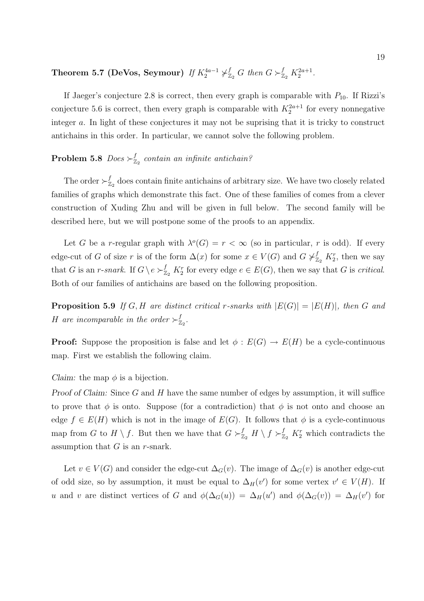Theorem 5.7 (DeVos, Seymour) If  $K_2^{4a-1} \not\vdash^f_{\mathbb{Z}_2} G$  then  $G \succ^f_{\mathbb{Z}_2} K_2^{2a+1}$ .

If Jaeger's conjecture 2.8 is correct, then every graph is comparable with  $P_{10}$ . If Rizzi's conjecture 5.6 is correct, then every graph is comparable with  $K_2^{2a+1}$  for every nonnegative integer a. In light of these conjectures it may not be suprising that it is tricky to construct antichains in this order. In particular, we cannot solve the following problem.

### Problem 5.8  $\it Does \succ^f_{\mathbb{Z}}$  $\mathbb{Z}_2$  contain an infinite antichain?

The order  $\succ^f_{\mathbb{Z}}$  $Z_2$  does contain finite antichains of arbitrary size. We have two closely related families of graphs which demonstrate this fact. One of these families of comes from a clever construction of Xuding Zhu and will be given in full below. The second family will be described here, but we will postpone some of the proofs to an appendix.

Let G be a r-regular graph with  $\lambda^{o}(G) = r < \infty$  (so in particular, r is odd). If every edge-cut of G of size r is of the form  $\Delta(x)$  for some  $x \in V(G)$  and  $G \neq_{\mathbb{Z}_2}^f K_2^r$ , then we say that G is an r-snark. If  $G \backslash e \succ_{\mathbb{Z}_2}^f K_2^r$  for every edge  $e \in E(G)$ , then we say that G is critical. Both of our families of antichains are based on the following proposition.

**Proposition 5.9** If G, H are distinct critical r-snarks with  $|E(G)| = |E(H)|$ , then G and H are incomparable in the order  $\succ_{\mathbb{Z}}^f$  $_{\mathbb{Z}_2}^f.$ 

**Proof:** Suppose the proposition is false and let  $\phi : E(G) \to E(H)$  be a cycle-continuous map. First we establish the following claim.

Claim: the map  $\phi$  is a bijection.

Proof of Claim: Since G and H have the same number of edges by assumption, it will suffice to prove that  $\phi$  is onto. Suppose (for a contradiction) that  $\phi$  is not onto and choose an edge  $f \in E(H)$  which is not in the image of  $E(G)$ . It follows that  $\phi$  is a cycle-continuous map from G to  $H \setminus f$ . But then we have that  $G \succ_{\mathbb{Z}_2}^f H \setminus f \succ_{\mathbb{Z}_2}^f K_2^r$  which contradicts the assumption that  $G$  is an  $r$ -snark.

Let  $v \in V(G)$  and consider the edge-cut  $\Delta_G(v)$ . The image of  $\Delta_G(v)$  is another edge-cut of odd size, so by assumption, it must be equal to  $\Delta_H(v')$  for some vertex  $v' \in V(H)$ . If u and v are distinct vertices of G and  $\phi(\Delta_G(u)) = \Delta_H(u')$  and  $\phi(\Delta_G(v)) = \Delta_H(v')$  for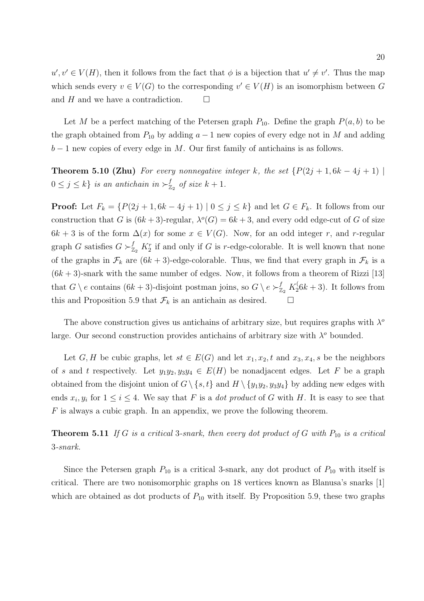$u', v' \in V(H)$ , then it follows from the fact that  $\phi$  is a bijection that  $u' \neq v'$ . Thus the map which sends every  $v \in V(G)$  to the corresponding  $v' \in V(H)$  is an isomorphism between G and H and we have a contradiction.  $\Box$ 

Let M be a perfect matching of the Petersen graph  $P_{10}$ . Define the graph  $P(a, b)$  to be the graph obtained from  $P_{10}$  by adding  $a - 1$  new copies of every edge not in M and adding  $b-1$  new copies of every edge in M. Our first family of antichains is as follows.

**Theorem 5.10 (Zhu)** For every nonnegative integer k, the set  $\{P(2j + 1, 6k - 4j + 1) \mid \}$  $0 \leq j \leq k$  is an antichain in  $\succ_{\mathbb{Z}}^f$  $_{\mathbb{Z}_2}^f$  of size  $k+1$ .

**Proof:** Let  $F_k = \{P(2j + 1, 6k - 4j + 1) \mid 0 \leq j \leq k\}$  and let  $G \in F_k$ . It follows from our construction that G is  $(6k+3)$ -regular,  $\lambda^{o}(G) = 6k+3$ , and every odd edge-cut of G of size  $6k + 3$  is of the form  $\Delta(x)$  for some  $x \in V(G)$ . Now, for an odd integer r, and r-regular graph G satisfies  $G \succ_{\mathbb{Z}_2}^f K_2^r$  if and only if G is r-edge-colorable. It is well known that none of the graphs in  $\mathcal{F}_k$  are  $(6k+3)$ -edge-colorable. Thus, we find that every graph in  $\mathcal{F}_k$  is a  $(6k+3)$ -snark with the same number of edges. Now, it follows from a theorem of Rizzi [13] that  $G \setminus e$  contains  $(6k+3)$ -disjoint postman joins, so  $G \setminus e \succ_{\mathbb{Z}_2}^f K_2^{\langle}$  $2(6k+3)$ . It follows from this and Proposition 5.9 that  $\mathcal{F}_k$  is an antichain as desired.  $\Box$ 

The above construction gives us antichains of arbitrary size, but requires graphs with  $\lambda^{\circ}$ large. Our second construction provides antichains of arbitrary size with  $\lambda^o$  bounded.

Let G, H be cubic graphs, let  $st \in E(G)$  and let  $x_1, x_2, t$  and  $x_3, x_4, s$  be the neighbors of s and t respectively. Let  $y_1y_2, y_3y_4 \in E(H)$  be nonadjacent edges. Let F be a graph obtained from the disjoint union of  $G \setminus \{s, t\}$  and  $H \setminus \{y_1y_2, y_3y_4\}$  by adding new edges with ends  $x_i, y_i$  for  $1 \leq i \leq 4$ . We say that F is a *dot product* of G with H. It is easy to see that  $F$  is always a cubic graph. In an appendix, we prove the following theorem.

**Theorem 5.11** If G is a critical 3-snark, then every dot product of G with  $P_{10}$  is a critical 3-snark.

Since the Petersen graph  $P_{10}$  is a critical 3-snark, any dot product of  $P_{10}$  with itself is critical. There are two nonisomorphic graphs on 18 vertices known as Blanusa's snarks [1] which are obtained as dot products of  $P_{10}$  with itself. By Proposition 5.9, these two graphs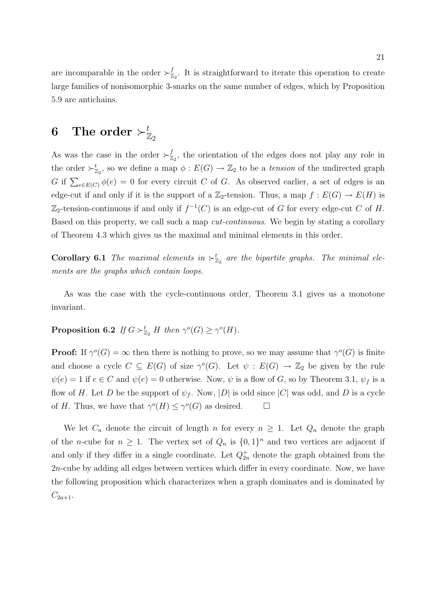are incomparable in the order  $\succ^f_{\mathbb{Z}}$  $Z_2^{\prime}$ . It is straightforward to iterate this operation to create large families of nonisomorphic 3-snarks on the same number of edges, which by Proposition 5.9 are antichains.

# $\mathbf 6\quad \textbf{The order}\succ_{\mathbb Z_2}^t$

As was the case in the order  $\succ^f_{\mathbb{Z}}$  $Z_2$ , the orientation of the edges does not play any role in the order  $\succ_{\mathbb{Z}_2}^t$ , so we define a map  $\phi : E(G) \to \mathbb{Z}_2$  to be a *tension* of the undirected graph G if  $\sum_{e \in E(C)} \phi(e) = 0$  for every circuit C of G. As observed earlier, a set of edges is an edge-cut if and only if it is the support of a  $\mathbb{Z}_2$ -tension. Thus, a map  $f : E(G) \to E(H)$  is  $\mathbb{Z}_2$ -tension-continuous if and only if  $f^{-1}(C)$  is an edge-cut of G for every edge-cut C of H. Based on this property, we call such a map cut-continuous. We begin by stating a corollary of Theorem 4.3 which gives us the maximal and minimal elements in this order.

**Corollary 6.1** The maximal elements in  $\succ^t_{\mathbb{Z}_2}$  are the bipartite graphs. The minimal elements are the graphs which contain loops.

As was the case with the cycle-continuous order, Theorem 3.1 gives us a monotone invariant.

## **Proposition 6.2** If  $G \succ_{\mathbb{Z}_2}^t H$  then  $\gamma^o(G) \geq \gamma^o(H)$ .

**Proof:** If  $\gamma^{o}(G) = \infty$  then there is nothing to prove, so we may assume that  $\gamma^{o}(G)$  is finite and choose a cycle  $C \subseteq E(G)$  of size  $\gamma^{o}(G)$ . Let  $\psi : E(G) \to \mathbb{Z}_2$  be given by the rule  $\psi(e) = 1$  if  $e \in C$  and  $\psi(e) = 0$  otherwise. Now,  $\psi$  is a flow of G, so by Theorem 3.1,  $\psi_f$  is a flow of H. Let D be the support of  $\psi_f$ . Now, |D| is odd since |C| was odd, and D is a cycle of H. Thus, we have that  $\gamma^{o}(H) \leq \gamma^{o}(G)$  as desired.  $\Box$ 

We let  $C_n$  denote the circuit of length n for every  $n \geq 1$ . Let  $Q_n$  denote the graph of the *n*-cube for  $n \geq 1$ . The vertex set of  $Q_n$  is  $\{0,1\}^n$  and two vertices are adjacent if and only if they differ in a single coordinate. Let  $Q_{2n}^+$  denote the graph obtained from the 2n-cube by adding all edges between vertices which differ in every coordinate. Now, we have the following proposition which characterizes when a graph dominates and is dominated by  $C_{2a+1}.$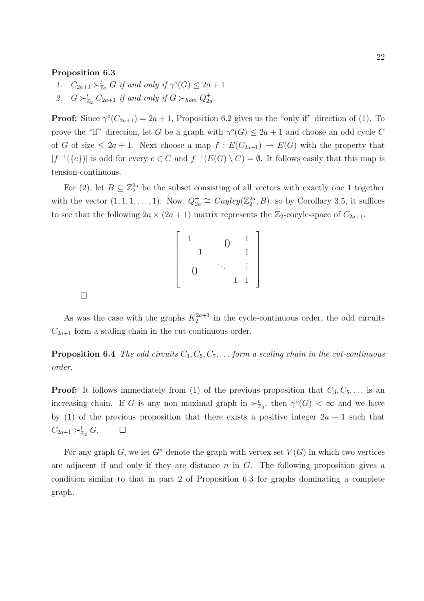### Proposition 6.3

- 1.  $C_{2a+1} \succ_{\mathbb{Z}_2}^t G$  if and only if  $\gamma^o(G) \leq 2a+1$
- 2.  $G \succ_{\mathbb{Z}_2}^t C_{2a+1}$  if and only if  $G \succ_{hom} Q_{2a}^+$ .

**Proof:** Since  $\gamma^{o}(C_{2a+1}) = 2a + 1$ , Proposition 6.2 gives us the "only if" direction of (1). To prove the "if" direction, let G be a graph with  $\gamma^{o}(G) \leq 2a + 1$  and choose an odd cycle C of G of size  $\leq 2a + 1$ . Next choose a map  $f : E(C_{2a+1}) \to E(G)$  with the property that  $|f^{-1}(\{e\})|$  is odd for every  $e \in C$  and  $f^{-1}(E(G) \setminus C) = \emptyset$ . It follows easily that this map is tension-continuous.

For (2), let  $B \subseteq \mathbb{Z}_2^{2a}$  be the subset consisting of all vectors with exactly one 1 together with the vector  $(1, 1, 1, \ldots, 1)$ . Now,  $Q_{2a}^{\dagger} \cong Cayley(\mathbb{Z}_2^{2a}, B)$ , so by Corollary 3.5, it suffices to see that the following  $2a \times (2a + 1)$  matrix represents the  $\mathbb{Z}_2$ -cocyle-space of  $C_{2a+1}$ .

$$
\left[\begin{array}{cccc} 1 & & & 0 & 1 \\ & 1 & & 0 & 1 \\ & & \ddots & & \vdots \\ 0 & & & 1 & 1 \end{array}\right]
$$

 $\Box$ 

As was the case with the graphs  $K_2^{2a+1}$  in the cycle-continuous order, the odd circuits  $C_{2a+1}$  form a scaling chain in the cut-continuous order.

**Proposition 6.4** The odd circuits  $C_3, C_5, C_7, \ldots$  form a scaling chain in the cut-continuous order.

**Proof:** It follows immediately from (1) of the previous proposition that  $C_3, C_5, \ldots$  is an increasing chain. If G is any non maximal graph in  $\succ^t_{\mathbb{Z}_2}$ , then  $\gamma^o(G) < \infty$  and we have by (1) of the previous proposition that there exists a positive integer  $2a + 1$  such that  $C_{2a+1} \succ_{\mathbb{Z}_2}^t G$ .  $\Box$ 

For any graph G, we let  $G<sup>n</sup>$  denote the graph with vertex set  $V(G)$  in which two vertices are adjacent if and only if they are distance  $n$  in  $G$ . The following proposition gives a condition similar to that in part 2 of Proposition 6.3 for graphs dominating a complete graph.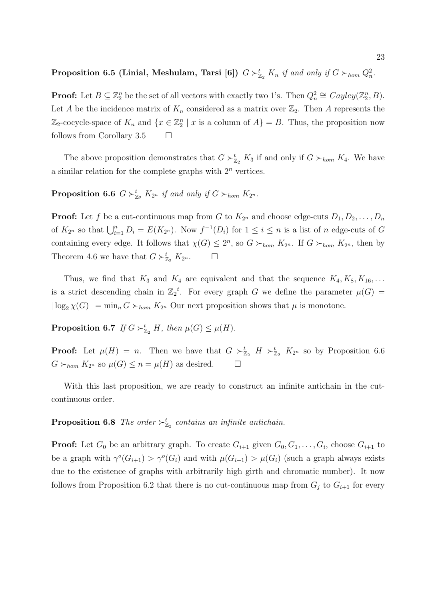## Proposition 6.5 (Linial, Meshulam, Tarsi [6])  $G \succ_{\mathbb{Z}_2}^t K_n$  if and only if  $G \succ_{hom} Q_n^2$ .

**Proof:** Let  $B \subseteq \mathbb{Z}_2^n$  be the set of all vectors with exactly two 1's. Then  $Q_n^2 \cong Cayley(\mathbb{Z}_2^n, B)$ . Let A be the incidence matrix of  $K_n$  considered as a matrix over  $\mathbb{Z}_2$ . Then A represents the  $\mathbb{Z}_2$ -cocycle-space of  $K_n$  and  $\{x \in \mathbb{Z}_2^n \mid x \text{ is a column of } A\} = B$ . Thus, the proposition now follows from Corollary 3.5  $\Box$ 

The above proposition demonstrates that  $G \succ_{\mathbb{Z}_2}^t K_3$  if and only if  $G \succ_{hom} K_4$ . We have a similar relation for the complete graphs with  $2^n$  vertices.

**Proposition 6.6**  $G \succ_{\mathbb{Z}_2}^t K_{2^n}$  if and only if  $G \succ_{hom} K_{2^n}$ .

**Proof:** Let f be a cut-continuous map from G to  $K_{2^n}$  and choose edge-cuts  $D_1, D_2, \ldots, D_n$ of  $K_{2^n}$  so that  $\bigcup_{i=1}^n D_i = E(K_{2^n})$ . Now  $f^{-1}(D_i)$  for  $1 \leq i \leq n$  is a list of n edge-cuts of G containing every edge. It follows that  $\chi(G) \leq 2^n$ , so  $G \succ_{hom} K_{2^n}$ . If  $G \succ_{hom} K_{2^n}$ , then by Theorem 4.6 we have that  $G \succ_{\mathbb{Z}_2}^t K_{2^n}$ .  $\Box$ 

Thus, we find that  $K_3$  and  $K_4$  are equivalent and that the sequence  $K_4, K_8, K_{16}, \ldots$ is a strict descending chain in  $\mathbb{Z}_2^t$ . For every graph G we define the parameter  $\mu(G)$  =  $\lceil \log_2 \chi(G) \rceil = \min_n G \succ_{hom} K_{2^n}$  Our next proposition shows that  $\mu$  is monotone.

**Proposition 6.7** If  $G \succ_{\mathbb{Z}_2}^t H$ , then  $\mu(G) \leq \mu(H)$ .

**Proof:** Let  $\mu(H) = n$ . Then we have that  $G \succ_{\mathbb{Z}_2}^t H \succ_{\mathbb{Z}_2}^t K_{2^n}$  so by Proposition 6.6  $G \succ_{hom} K_{2^n}$  so  $\mu(G) \leq n = \mu(H)$  as desired.  $\Box$ 

With this last proposition, we are ready to construct an infinite antichain in the cutcontinuous order.

**Proposition 6.8** The order  $\succ^t_{\mathbb{Z}_2}$  contains an infinite antichain.

**Proof:** Let  $G_0$  be an arbitrary graph. To create  $G_{i+1}$  given  $G_0, G_1, \ldots, G_i$ , choose  $G_{i+1}$  to be a graph with  $\gamma^{o}(G_{i+1}) > \gamma^{o}(G_i)$  and with  $\mu(G_{i+1}) > \mu(G_i)$  (such a graph always exists due to the existence of graphs with arbitrarily high girth and chromatic number). It now follows from Proposition 6.2 that there is no cut-continuous map from  $G_j$  to  $G_{i+1}$  for every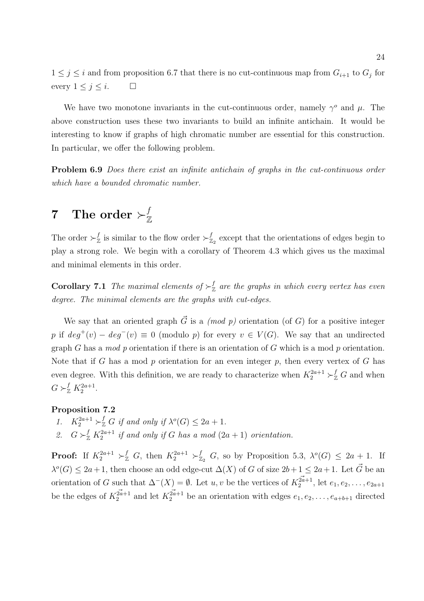$1 \leq j \leq i$  and from proposition 6.7 that there is no cut-continuous map from  $G_{i+1}$  to  $G_j$  for every  $1 \leq j \leq i$ .  $\Box$ 

We have two monotone invariants in the cut-continuous order, namely  $\gamma^{\circ}$  and  $\mu$ . The above construction uses these two invariants to build an infinite antichain. It would be interesting to know if graphs of high chromatic number are essential for this construction. In particular, we offer the following problem.

Problem 6.9 Does there exist an infinite antichain of graphs in the cut-continuous order which have a bounded chromatic number.

## $7$  The order  $\succ^f_\mathbb{Z}$ Z

The order  $\succ^f_{\mathbb{Z}}$  $\frac{f}{\mathbb{Z}}$  is similar to the flow order  $\succ^f_{\mathbb{Z}}$  $Z_2$  except that the orientations of edges begin to play a strong role. We begin with a corollary of Theorem 4.3 which gives us the maximal and minimal elements in this order.

**Corollary 7.1** The maximal elements of  $\succ^f_{\mathbb{Z}}$  $\frac{J}{\mathbb{Z}}$  are the graphs in which every vertex has even degree. The minimal elements are the graphs with cut-edges.

We say that an oriented graph  $\vec{G}$  is a *(mod p)* orientation (of G) for a positive integer p if  $deg^+(v) - deg^-(v) \equiv 0 \pmod{p}$  for every  $v \in V(G)$ . We say that an undirected graph G has a mod p orientation if there is an orientation of G which is a mod p orientation. Note that if G has a mod  $p$  orientation for an even integer  $p$ , then every vertex of  $G$  has even degree. With this definition, we are ready to characterize when  $K_2^{2a+1} \succ_{\mathbb{Z}}^f G$  and when  $G \succ_{\mathbb{Z}}^f K_2^{2a+1}.$ 

### Proposition 7.2

- 1.  $K_2^{2a+1} \succ_{\mathbb{Z}}^f G$  if and only if  $\lambda^o(G) \leq 2a+1$ .
- 2.  $G \succ_{\mathbb{Z}}^{f} K_2^{2a+1}$  if and only if G has a mod  $(2a+1)$  orientation.

**Proof:** If  $K_2^{2a+1} \succ_{\mathbb{Z}}^f G$ , then  $K_2^{2a+1} \succ_{\mathbb{Z}_2}^f G$ , so by Proposition 5.3,  $\lambda^o(G) \leq 2a+1$ . If  $\lambda^{o}(G) \leq 2a+1$ , then choose an odd edge-cut  $\Delta(X)$  of G of size  $2b+1 \leq 2a+1$ . Let  $\vec{G}$  be an orientation of G such that  $\Delta^{-}(X) = \emptyset$ . Let  $u, v$  be the vertices of  $K_2^{\vec{a}+1}$ , let  $e_1, e_2, \ldots, e_{2a+1}$ be the edges of  $K_2^{\vec{2a}+1}$  and let  $K_2^{\vec{2a}+1}$  be an orientation with edges  $e_1, e_2, \ldots, e_{a+b+1}$  directed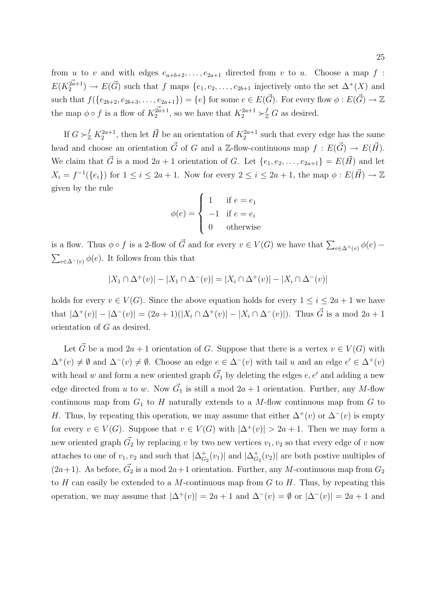from u to v and with edges  $e_{a+b+2}, \ldots, e_{2a+1}$  directed from v to u. Choose a map f :  $E(K_2^{\vec{2a}+1}) \to E(\vec{G})$  such that f maps  $\{e_1, e_2, \ldots, e_{2b+1} \text{ injectively onto the set } \Delta^+(X) \text{ and }$ such that  $f(\{e_{2b+2}, e_{2b+3}, \ldots, e_{2a+1}\}) = \{e\}$  for some  $e \in E(\vec{G})$ . For every flow  $\phi : E(\vec{G}) \to \mathbb{Z}$ the map  $\phi \circ f$  is a flow of  $K_2^{\mathbb{Z}_{a+1}}$ , so we have that  $K_2^{2a+1} \succ_{\mathbb{Z}}^f G$  as desired.

If  $G \succ_{\mathbb{Z}}^f K_2^{2a+1}$ , then let  $\vec{H}$  be an orientation of  $K_2^{2a+1}$  such that every edge has the same head and choose an orientation  $\vec{G}$  of G and a Z-flow-continuous map  $f : E(\vec{G}) \to E(\vec{H})$ . We claim that  $\vec{G}$  is a mod  $2a + 1$  orientation of G. Let  $\{e_1, e_2, \ldots, e_{2a+1}\} = E(\vec{H})$  and let  $X_i = f^{-1}(\{e_i\})$  for  $1 \leq i \leq 2a+1$ . Now for every  $2 \leq i \leq 2a+1$ , the map  $\phi : E(\vec{H}) \to \mathbb{Z}$ given by the rule  $\overline{a}$ 

$$
\phi(e) = \begin{cases} 1 & \text{if } e = e_1 \\ -1 & \text{if } e = e_i \\ 0 & \text{otherwise} \end{cases}
$$

is a flow. Thus  $\phi \circ f$  is a 2-flow of  $\vec{G}$  and for every  $v \in V(G)$  we have that  $\sum_{e \in \Delta^+(v)} \phi(e)$  –  $\overline{ }$  $_{e\in\Delta^{-}(v)}$   $\phi(e)$ . It follows from this that

$$
|X_1 \cap \Delta^+(v)| - |X_1 \cap \Delta^-(v)| = |X_i \cap \Delta^+(v)| - |X_i \cap \Delta^-(v)|
$$

holds for every  $v \in V(G)$ . Since the above equation holds for every  $1 \leq i \leq 2a + 1$  we have that  $|\Delta^+(v)| - |\Delta^-(v)| = (2a+1)(|X_i \cap \Delta^+(v)| - |X_i \cap \Delta^-(v)|)$ . Thus  $\vec{G}$  is a mod  $2a+1$ orientation of G as desired.

Let  $\vec{G}$  be a mod  $2a + 1$  orientation of G. Suppose that there is a vertex  $v \in V(G)$  with  $\Delta^+(v) \neq \emptyset$  and  $\Delta^-(v) \neq \emptyset$ . Choose an edge  $e \in \Delta^-(v)$  with tail u and an edge  $e' \in \Delta^+(v)$ with head w and form a new oriented graph  $\vec{G_1}$  by deleting the edges  $e, e'$  and adding a new edge directed from u to w. Now  $\vec{G}_1$  is still a mod  $2a + 1$  orientation. Further, any M-flow continuous map from  $G_1$  to H naturally extends to a M-flow continuous map from  $G$  to H. Thus, by repeating this operation, we may assume that either  $\Delta^+(v)$  or  $\Delta^-(v)$  is empty for every  $v \in V(G)$ . Suppose that  $v \in V(G)$  with  $|\Delta^+(v)| > 2a + 1$ . Then we may form a new oriented graph  $\vec{G_2}$  by replacing v by two new vertices  $v_1, v_2$  so that every edge of v now attaches to one of  $v_1, v_2$  and such that  $|\Delta_G^+|$  $_{G_2}^+(v_1)$  and  $|\Delta_G^+$  $C_{G_2}(v_2)$  are both postive multiples of  $(2a+1)$ . As before,  $\vec{G}_2$  is a mod  $2a+1$  orientation. Further, any M-continuous map from  $G_2$ to H can easily be extended to a M-continuous map from  $G$  to  $H$ . Thus, by repeating this operation, we may assume that  $|\Delta^+(v)| = 2a + 1$  and  $\Delta^-(v) = \emptyset$  or  $|\Delta^-(v)| = 2a + 1$  and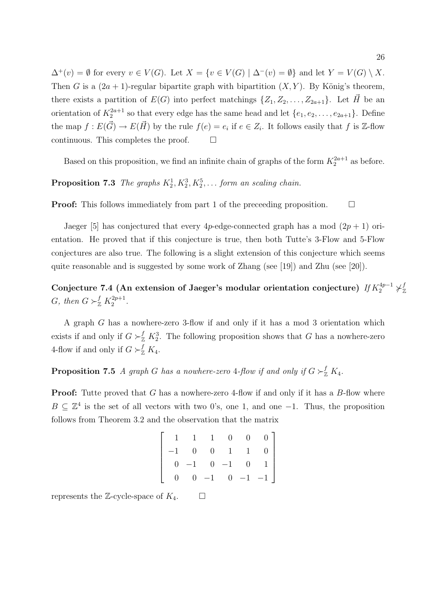$\Delta^+(v) = \emptyset$  for every  $v \in V(G)$ . Let  $X = \{v \in V(G) \mid \Delta^-(v) = \emptyset\}$  and let  $Y = V(G) \setminus X$ . Then G is a  $(2a + 1)$ -regular bipartite graph with bipartition  $(X, Y)$ . By König's theorem, there exists a partition of  $E(G)$  into perfect matchings  $\{Z_1, Z_2, \ldots, Z_{2a+1}\}$ . Let  $\vec{H}$  be an orientation of  $K_2^{2a+1}$  so that every edge has the same head and let  $\{e_1, e_2, \ldots, e_{2a+1}\}$ . Define the map  $f: E(\vec{G}) \to E(\vec{H})$  by the rule  $f(e) = e_i$  if  $e \in Z_i$ . It follows easily that f is Z-flow continuous. This completes the proof.  $\Box$ 

Based on this proposition, we find an infinite chain of graphs of the form  $K_2^{2a+1}$  as before.

**Proposition 7.3** The graphs  $K_2^1, K_2^3, K_2^5, \ldots$  form an scaling chain.

**Proof:** This follows immediately from part 1 of the preceeding proposition.  $\Box$ 

Jaeger [5] has conjectured that every 4p-edge-connected graph has a mod  $(2p + 1)$  orientation. He proved that if this conjecture is true, then both Tutte's 3-Flow and 5-Flow conjectures are also true. The following is a slight extension of this conjecture which seems quite reasonable and is suggested by some work of Zhang (see [19]) and Zhu (see [20]).

Conjecture 7.4 (An extension of Jaeger's modular orientation conjecture)  $\textit{If}~K_2^{4p-1}\not\vdash^f_\mathbb{Z}$ Z G, then  $G \succ_{\mathbb{Z}}^{f} K_2^{2p+1}$  $2^{p+1}$ .

A graph G has a nowhere-zero 3-flow if and only if it has a mod 3 orientation which exists if and only if  $G \succ_{\mathbb{Z}}^f K_2^3$ . The following proposition shows that G has a nowhere-zero 4-flow if and only if  $G \succ_{\mathbb{Z}}^f K_4$ .

**Proposition 7.5** A graph G has a nowhere-zero 4-flow if and only if  $G \succ_{\mathbb{Z}}^f K_4$ .

**Proof:** Tutte proved that G has a nowhere-zero 4-flow if and only if it has a B-flow where  $B \subseteq \mathbb{Z}^4$  is the set of all vectors with two 0's, one 1, and one -1. Thus, the proposition follows from Theorem 3.2 and the observation that the matrix

|  |  |  | $\left[ \begin{array}{ccccccc} 1 & 1 & 1 & 0 & 0 & 0 \\ -1 & 0 & 0 & 1 & 1 & 0 \\ 0 & -1 & 0 & -1 & 0 & 1 \\ 0 & 0 & -1 & 0 & -1 & -1 \end{array} \right]$ |
|--|--|--|------------------------------------------------------------------------------------------------------------------------------------------------------------|
|  |  |  |                                                                                                                                                            |
|  |  |  |                                                                                                                                                            |
|  |  |  |                                                                                                                                                            |

represents the Z-cycle-space of  $K_4$ .  $\Box$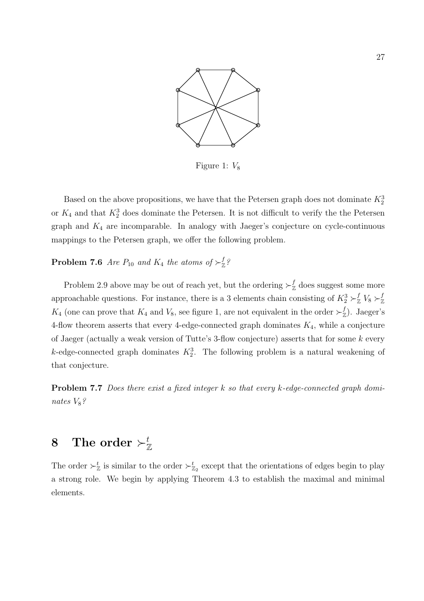

Figure 1:  $V_8$ 

Based on the above propositions, we have that the Petersen graph does not dominate  $K_2^3$ or  $K_4$  and that  $K_2^3$  does dominate the Petersen. It is not difficult to verify the the Petersen graph and  $K_4$  are incomparable. In analogy with Jaeger's conjecture on cycle-continuous mappings to the Petersen graph, we offer the following problem.

#### **Problem 7.6** Are  $P_{10}$  and  $K_4$  the atoms of  $\succ^f_{\mathbb{Z}}$ Z ?

Problem 2.9 above may be out of reach yet, but the ordering  $\succ^f_{\mathbb{Z}}$  $\frac{J}{\mathbb{Z}}$  does suggest some more approachable questions. For instance, there is a 3 elements chain consisting of  $K_2^3 \succ_{\mathbb{Z}}^f V_8 \succ_{\mathbb{Z}}^f V_8$ Z  $K_4$  (one can prove that  $K_4$  and  $V_8$ , see figure 1, are not equivalent in the order  $\succ^f_{\mathbb{Z}}$  $\binom{f}{\mathbb{Z}}$ . Jaeger's 4-flow theorem asserts that every 4-edge-connected graph dominates  $K_4$ , while a conjecture of Jaeger (actually a weak version of Tutte's 3-flow conjecture) asserts that for some k every k-edge-connected graph dominates  $K_2^3$ . The following problem is a natural weakening of that conjecture.

Problem 7.7 Does there exist a fixed integer k so that every k-edge-connected graph dominates  $V_8$ ?

# $8$  The order  $\succ^t_\mathbb{Z}$

The order  $\succ^t_{\mathbb{Z}}$  is similar to the order  $\succ^t_{\mathbb{Z}_2}$  except that the orientations of edges begin to play a strong role. We begin by applying Theorem 4.3 to establish the maximal and minimal elements.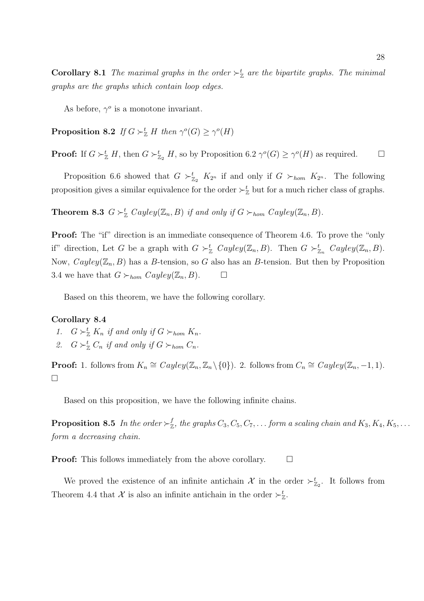**Corollary 8.1** The maximal graphs in the order  $\succ^t_{\mathbb{Z}}$  are the bipartite graphs. The minimal graphs are the graphs which contain loop edges.

As before,  $\gamma^o$  is a monotone invariant.

**Proposition 8.2** If  $G \succ_{\mathbb{Z}}^t H$  then  $\gamma^o(G) \geq \gamma^o(H)$ 

**Proof:** If  $G \succ_{\mathbb{Z}}^t H$ , then  $G \succ_{\mathbb{Z}_2}^t H$ , so by Proposition 6.2  $\gamma^o(G) \geq \gamma^o(H)$  as required.  $\Box$ 

Proposition 6.6 showed that  $G \succ_{\mathbb{Z}_2}^t K_{2^n}$  if and only if  $G \succ_{hom} K_{2^n}$ . The following proposition gives a similar equivalence for the order  $\succ^t_{\mathbb{Z}}$  but for a much richer class of graphs.

**Theorem 8.3**  $G \succ_{\mathbb{Z}}^t Cayley(\mathbb{Z}_n, B)$  if and only if  $G \succ_{hom} Cayley(\mathbb{Z}_n, B)$ .

**Proof:** The "if" direction is an immediate consequence of Theorem 4.6. To prove the "only if" direction, Let G be a graph with  $G \succ_{\mathbb{Z}}^t Cayley(\mathbb{Z}_n, B)$ . Then  $G \succ_{\mathbb{Z}_n}^t Cayley(\mathbb{Z}_n, B)$ . Now,  $Cayley(\mathbb{Z}_n, B)$  has a B-tension, so G also has an B-tension. But then by Proposition 3.4 we have that  $G \succ_{hom} Cayley(\mathbb{Z}_n, B)$ .  $\Box$ 

Based on this theorem, we have the following corollary.

### Corollary 8.4

- 1.  $G \succ_{\mathbb{Z}}^t K_n$  if and only if  $G \succ_{hom} K_n$ .
- 2.  $G \succ_{\mathbb{Z}}^t C_n$  if and only if  $G \succ_{hom} C_n$ .

**Proof:** 1. follows from  $K_n \cong Cayley(\mathbb{Z}_n, \mathbb{Z}_n \setminus \{0\})$ . 2. follows from  $C_n \cong Cayley(\mathbb{Z}_n, -1, 1)$ .  $\Box$ 

Based on this proposition, we have the following infinite chains.

**Proposition 8.5** In the order  $\succ^f_{\mathbb{Z}}$  $Z_{\mathbb{Z}}^f$ , the graphs  $C_3, C_5, C_7, \ldots$  form a scaling chain and  $K_3, K_4, K_5, \ldots$ form a decreasing chain.

**Proof:** This follows immediately from the above corollary.  $\Box$ 

We proved the existence of an infinite antichain  $\mathcal X$  in the order  $\succ_{\mathbb{Z}_2}^t$ . It follows from Theorem 4.4 that  $\mathcal X$  is also an infinite antichain in the order  $\succ^t_{\mathbb{Z}}$ .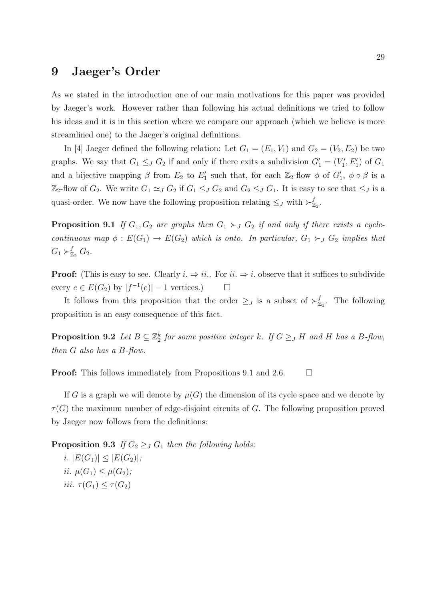## 9 Jaeger's Order

As we stated in the introduction one of our main motivations for this paper was provided by Jaeger's work. However rather than following his actual definitions we tried to follow his ideas and it is in this section where we compare our approach (which we believe is more streamlined one) to the Jaeger's original definitions.

In [4] Jaeger defined the following relation: Let  $G_1 = (E_1, V_1)$  and  $G_2 = (V_2, E_2)$  be two graphs. We say that  $G_1 \leq J G_2$  if and only if there exits a subdivision  $G'_1 = (V'_1, E'_1)$  of  $G_1$ and a bijective mapping  $\beta$  from  $E_2$  to  $E'_1$  such that, for each  $\mathbb{Z}_2$ -flow  $\phi$  of  $G'_1$ ,  $\phi \circ \beta$  is a  $\mathbb{Z}_2$ -flow of  $G_2$ . We write  $G_1 \simeq_J G_2$  if  $G_1 \leq_J G_2$  and  $G_2 \leq_J G_1$ . It is easy to see that  $\leq_J$  is a quasi-order. We now have the following proposition relating  $\leq_J$  with  $\succ_{\mathbb{Z}}^f$  $_{\mathbb{Z}_2}^{\mathbb{\scriptscriptstyle{.}}}$ 

**Proposition 9.1** If  $G_1, G_2$  are graphs then  $G_1 \succ_J G_2$  if and only if there exists a cyclecontinuous map  $\phi: E(G_1) \to E(G_2)$  which is onto. In particular,  $G_1 \succ_J G_2$  implies that  $G_1 \succ_{\mathbb{Z}_2}^f G_2$ .

**Proof:** (This is easy to see. Clearly  $i \Rightarrow ii$ . For  $ii \Rightarrow i$ . observe that it suffices to subdivide every  $e \in E(G_2)$  by  $|f^{-1}(e)| - 1$  vertices.)  $\Box$ 

It follows from this proposition that the order  $\geq_J$  is a subset of  $\succ_{\mathbb{Z}}^f$  $Z_2$ . The following proposition is an easy consequence of this fact.

**Proposition 9.2** Let  $B \subseteq \mathbb{Z}_2^k$  for some positive integer k. If  $G \geq J$  H and H has a B-flow, then G also has a B-flow.

**Proof:** This follows immediately from Propositions 9.1 and 2.6.  $\Box$ 

If G is a graph we will denote by  $\mu(G)$  the dimension of its cycle space and we denote by  $\tau(G)$  the maximum number of edge-disjoint circuits of G. The following proposition proved by Jaeger now follows from the definitions:

**Proposition 9.3** If  $G_2 \geq J G_1$  then the following holds: i.  $|E(G_1)| \leq |E(G_2)|;$ ii.  $\mu(G_1) \leq \mu(G_2)$ ; iii.  $\tau(G_1) \leq \tau(G_2)$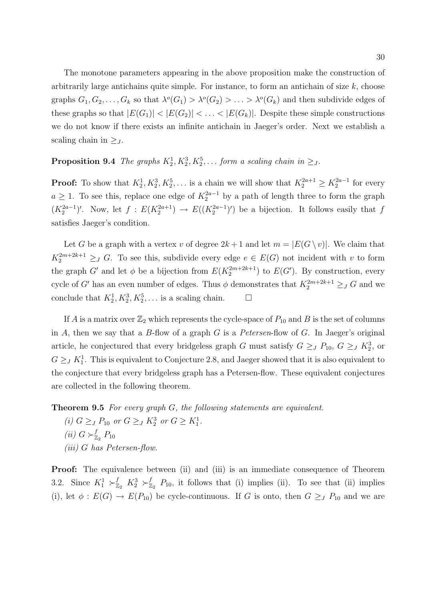The monotone parameters appearing in the above proposition make the construction of arbitrarily large antichains quite simple. For instance, to form an antichain of size  $k$ , choose graphs  $G_1, G_2, \ldots, G_k$  so that  $\lambda^o(G_1) > \lambda^o(G_2) > \ldots > \lambda^o(G_k)$  and then subdivide edges of these graphs so that  $|E(G_1)| < |E(G_2)| < \ldots < |E(G_k)|$ . Despite these simple constructions we do not know if there exists an infinite antichain in Jaeger's order. Next we establish a scaling chain in  $\geq_J$ .

## **Proposition 9.4** The graphs  $K_2^1, K_2^3, K_2^5, \ldots$  form a scaling chain in  $\geq_J$ .

**Proof:** To show that  $K_2^1, K_2^3, K_2^5, \ldots$  is a chain we will show that  $K_2^{2a+1} \ge K_2^{2a-1}$  for every  $a \geq 1$ . To see this, replace one edge of  $K_2^{2a-1}$  by a path of length three to form the graph  $(K_2^{2a-1})'$ . Now, let  $f: E(K_2^{2a+1}) \to E((K_2^{2a-1})')$  be a bijection. It follows easily that f satisfies Jaeger's condition.

Let G be a graph with a vertex v of degree  $2k+1$  and let  $m = |E(G \setminus v)|$ . We claim that  $K_2^{2m+2k+1} \geq_J G$ . To see this, subdivide every edge  $e \in E(G)$  not incident with v to form the graph G' and let  $\phi$  be a bijection from  $E(K_2^{2m+2k+1})$  to  $E(G')$ . By construction, every cycle of G' has an even number of edges. Thus  $\phi$  demonstrates that  $K_2^{2m+2k+1} \geq_J G$  and we conclude that  $K_2^1, K_2^3, K_2^5, \ldots$  is a scaling chain.  $\Box$ 

If A is a matrix over  $\mathbb{Z}_2$  which represents the cycle-space of  $P_{10}$  and B is the set of columns in  $A$ , then we say that a  $B$ -flow of a graph  $G$  is a Petersen-flow of  $G$ . In Jaeger's original article, he conjectured that every bridgeless graph G must satisfy  $G \geq_J P_{10}$ ,  $G \geq_J K_2^3$ , or  $G \geq J K_1^1$ . This is equivalent to Conjecture 2.8, and Jaeger showed that it is also equivalent to the conjecture that every bridgeless graph has a Petersen-flow. These equivalent conjectures are collected in the following theorem.

Theorem 9.5 For every graph G, the following statements are equivalent.

(i)  $G \geq_{J} P_{10}$  or  $G \geq_{J} K_2^3$  or  $G \geq K_1^1$ . (ii)  $G \succ_{\mathbb{Z}}^f$  $_{\mathbb{Z}_2}^f$   $P_{10}$ (iii) G has Petersen-flow.

Proof: The equivalence between (ii) and (iii) is an immediate consequence of Theorem 3.2. Since  $K_1^1 \succ_{\mathbb{Z}_2}^f K_2^3 \succ_{\mathbb{Z}}^f$  $Z_2^t$   $P_{10}$ , it follows that (i) implies (ii). To see that (ii) implies (i), let  $\phi: E(G) \to E(P_{10})$  be cycle-continuous. If G is onto, then  $G \geq_{J} P_{10}$  and we are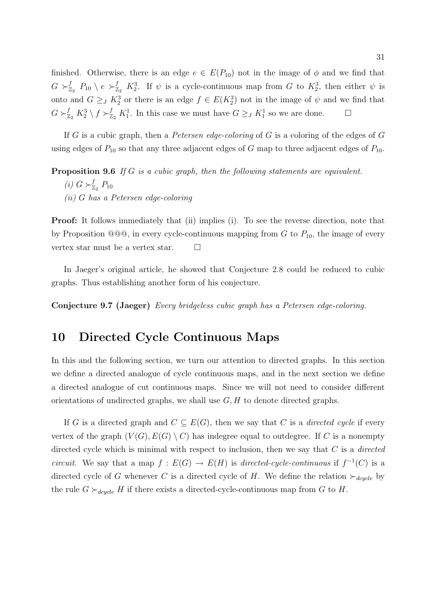finished. Otherwise, there is an edge  $e \in E(P_{10})$  not in the image of  $\phi$  and we find that  $G \succ_{\pi}^f$  $\frac{f}{z_2}$   $P_{10} \setminus e \succ_{\overline{z}_2}^f K_2^3$ . If  $\psi$  is a cycle-continuous map from G to  $K_2^3$ , then either  $\psi$  is onto and  $G \geq_J K_2^3$  or there is an edge  $f \in E(K_2^3)$  not in the image of  $\psi$  and we find that  $G \succ_{\mathbb{Z}_2}^f K_2^3 \setminus f \succ_{\mathbb{Z}_2}^f K_1^1$ . In this case we must have  $G \geq_J K_1^1$  so we are done.  $\Box$ 

If G is a cubic graph, then a Petersen edge-coloring of G is a coloring of the edges of G using edges of  $P_{10}$  so that any three adjacent edges of G map to three adjacent edges of  $P_{10}$ .

Proposition 9.6 If G is a cubic graph, then the following statements are equivalent.

- (i)  $G \succ_{\mathbb{Z}}^f$  $^f_{\mathbb{Z}_2}$   $P_{10}$
- (ii) G has a Petersen edge-coloring

Proof: It follows immediately that (ii) implies (i). To see the reverse direction, note that by Proposition  $@@@$ , in every cycle-continuous mapping from G to  $P_{10}$ , the image of every vertex star must be a vertex star.  $\Box$ 

In Jaeger's original article, he showed that Conjecture 2.8 could be reduced to cubic graphs. Thus establishing another form of his conjecture.

Conjecture 9.7 (Jaeger) Every bridgeless cubic graph has a Petersen edge-coloring.

## 10 Directed Cycle Continuous Maps

In this and the following section, we turn our attention to directed graphs. In this section we define a directed analogue of cycle continuous maps, and in the next section we define a directed analogue of cut continuous maps. Since we will not need to consider different orientations of undirected graphs, we shall use  $G, H$  to denote directed graphs.

If G is a directed graph and  $C \subseteq E(G)$ , then we say that C is a *directed cycle* if every vertex of the graph  $(V(G), E(G) \setminus C)$  has indegree equal to outdegree. If C is a nonempty directed cycle which is minimal with respect to inclusion, then we say that  $C$  is a *directed* circuit. We say that a map  $f: E(G) \to E(H)$  is directed-cycle-continuous if  $f^{-1}(C)$  is a directed cycle of G whenever C is a directed cycle of H. We define the relation  $\succ_{dcycle}$  by the rule  $G \succ_{degree} H$  if there exists a directed-cycle-continuous map from G to H.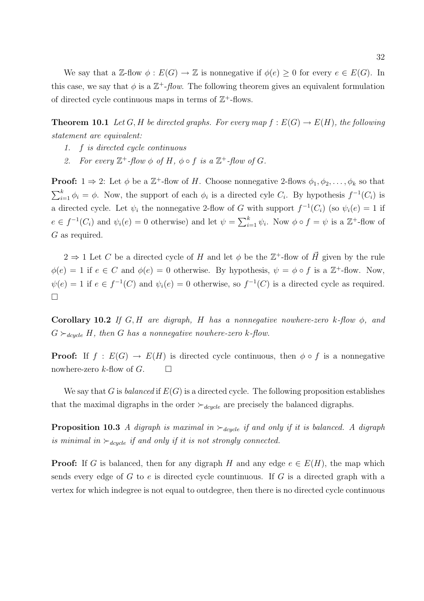We say that a Z-flow  $\phi : E(G) \to \mathbb{Z}$  is nonnegative if  $\phi(e) \geq 0$  for every  $e \in E(G)$ . In this case, we say that  $\phi$  is a  $\mathbb{Z}^+$ -flow. The following theorem gives an equivalent formulation of directed cycle continuous maps in terms of  $\mathbb{Z}^+$ -flows.

**Theorem 10.1** Let G, H be directed graphs. For every map  $f : E(G) \to E(H)$ , the following statement are equivalent:

- 1. f is directed cycle continuous
- 2. For every  $\mathbb{Z}^+$ -flow  $\phi$  of H,  $\phi \circ f$  is a  $\mathbb{Z}^+$ -flow of G.

**Proof:**  $1 \Rightarrow 2$ : Let  $\phi$  be a  $\mathbb{Z}^+$ -flow of H. Choose nonnegative 2-flows  $\phi_1, \phi_2, \ldots, \phi_k$  so that  $\sum_{k}$  $_{i=1}^{k} \phi_i = \phi$ . Now, the support of each  $\phi_i$  is a directed cyle  $C_i$ . By hypothesis  $f^{-1}(C_i)$  is a directed cycle. Let  $\psi_i$  the nonnegative 2-flow of G with support  $f^{-1}(C_i)$  (so  $\psi_i(e) = 1$  if  $e \in f^{-1}(C_i)$  and  $\psi_i(e) = 0$  otherwise) and let  $\psi = \sum_{i=1}^k$  $_{i=1}^{k} \psi_{i}$ . Now  $\phi \circ f = \psi$  is a  $\mathbb{Z}^{+}$ -flow of G as required.

 $2 \Rightarrow 1$  Let C be a directed cycle of H and let  $\phi$  be the  $\mathbb{Z}^+$ -flow of  $\vec{H}$  given by the rule  $\phi(e) = 1$  if  $e \in C$  and  $\phi(e) = 0$  otherwise. By hypothesis,  $\psi = \phi \circ f$  is a  $\mathbb{Z}^+$ -flow. Now,  $\psi(e) = 1$  if  $e \in f^{-1}(C)$  and  $\psi_i(e) = 0$  otherwise, so  $f^{-1}(C)$  is a directed cycle as required.  $\Box$ 

Corollary 10.2 If G, H are digraph, H has a nonnegative nowhere-zero k-flow  $\phi$ , and  $G \succ_{dcycle} H$ , then G has a nonnegative nowhere-zero k-flow.

**Proof:** If  $f : E(G) \to E(H)$  is directed cycle continuous, then  $\phi \circ f$  is a nonnegative nowhere-zero k-flow of  $G$ .  $\Box$ 

We say that G is *balanced* if  $E(G)$  is a directed cycle. The following proposition establishes that the maximal digraphs in the order  $\succ_{dcycle}$  are precisely the balanced digraphs.

**Proposition 10.3** A digraph is maximal in  $\succ_{\text{dcycle}}$  if and only if it is balanced. A digraph is minimal in  $\succ_{dcycle}$  if and only if it is not strongly connected.

**Proof:** If G is balanced, then for any digraph H and any edge  $e \in E(H)$ , the map which sends every edge of G to e is directed cycle countinuous. If G is a directed graph with a vertex for which indegree is not equal to outdegree, then there is no directed cycle continuous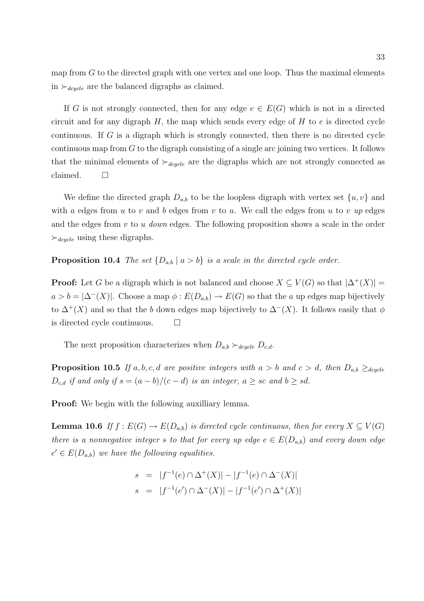map from  $G$  to the directed graph with one vertex and one loop. Thus the maximal elements in  $\succ_{\text{degree}}$  are the balanced digraphs as claimed.

If G is not strongly connected, then for any edge  $e \in E(G)$  which is not in a directed circuit and for any digraph  $H$ , the map which sends every edge of  $H$  to  $e$  is directed cycle continuous. If G is a digraph which is strongly connected, then there is no directed cycle continuous map from  $G$  to the digraph consisting of a single arc joining two vertices. It follows that the minimal elements of  $\succ_{dcycle}$  are the digraphs which are not strongly connected as claimed.  $\square$ 

We define the directed graph  $D_{a,b}$  to be the loopless digraph with vertex set  $\{u, v\}$  and with a edges from u to v and b edges from v to u. We call the edges from u to v up edges and the edges from  $v$  to  $u$  down edges. The following proposition shows a scale in the order  $\succ_{\text{degree}}$  using these digraphs.

### **Proposition 10.4** The set  $\{D_{a,b} | a > b\}$  is a scale in the directed cycle order.

**Proof:** Let G be a digraph which is not balanced and choose  $X \subseteq V(G)$  so that  $|\Delta^+(X)| =$  $a > b = |\Delta^{-1}(X)|$ . Choose a map  $\phi : E(D_{a,b}) \to E(G)$  so that the a up edges map bijectively to  $\Delta^{+}(X)$  and so that the b down edges map bijectively to  $\Delta^{-}(X)$ . It follows easily that  $\phi$ is directed cycle continuous.  $\Box$ 

The next proposition characterizes when  $D_{a,b} \succ_{degele} D_{c,d}$ .

**Proposition 10.5** If a, b, c, d are positive integers with  $a > b$  and  $c > d$ , then  $D_{a,b} \geq_{dcycle}$  $D_{c,d}$  if and only if  $s = (a - b)/(c - d)$  is an integer,  $a \geq sc$  and  $b \geq sd$ .

**Proof:** We begin with the following auxilliary lemma.

**Lemma 10.6** If  $f : E(G) \to E(D_{a,b})$  is directed cycle continuous, then for every  $X \subseteq V(G)$ there is a nonnegative integer s to that for every up edge  $e \in E(D_{a,b})$  and every down edge  $e' \in E(D_{a,b})$  we have the following equalities.

$$
s = |f^{-1}(e) \cap \Delta^+(X)| - |f^{-1}(e) \cap \Delta^-(X)|
$$
  

$$
s = |f^{-1}(e') \cap \Delta^-(X)| - |f^{-1}(e') \cap \Delta^+(X)|
$$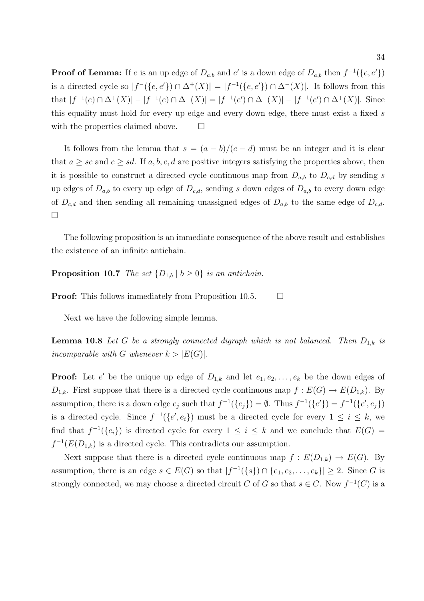**Proof of Lemma:** If e is an up edge of  $D_{a,b}$  and e' is a down edge of  $D_{a,b}$  then  $f^{-1}(\lbrace e, e' \rbrace)$ is a directed cycle so  $|f^{-}(\{e, e'\}) \cap \Delta^{+}(X)| = |f^{-1}(\{e, e'\}) \cap \Delta^{-}(X)|$ . It follows from this that  $|f^{-1}(e) \cap \Delta^+(X)| - |f^{-1}(e) \cap \Delta^-(X)| = |f^{-1}(e') \cap \Delta^-(X)| - |f^{-1}(e') \cap \Delta^+(X)|$ . Since this equality must hold for every up edge and every down edge, there must exist a fixed  $s$ with the properties claimed above.  $\Box$ 

It follows from the lemma that  $s = (a - b)/(c - d)$  must be an integer and it is clear that  $a \geq sc$  and  $c \geq sd$ . If  $a, b, c, d$  are positive integers satisfying the properties above, then it is possible to construct a directed cycle continuous map from  $D_{a,b}$  to  $D_{c,d}$  by sending s up edges of  $D_{a,b}$  to every up edge of  $D_{c,d}$ , sending s down edges of  $D_{a,b}$  to every down edge of  $D_{c,d}$  and then sending all remaining unassigned edges of  $D_{a,b}$  to the same edge of  $D_{c,d}$ . ¤

The following proposition is an immediate consequence of the above result and establishes the existence of an infinite antichain.

**Proposition 10.7** The set  $\{D_{1,b} | b \ge 0\}$  is an antichain.

**Proof:** This follows immediately from Proposition 10.5.  $\Box$ 

Next we have the following simple lemma.

**Lemma 10.8** Let G be a strongly connected digraph which is not balanced. Then  $D_{1,k}$  is incomparable with G whenever  $k > |E(G)|$ .

**Proof:** Let e' be the unique up edge of  $D_{1,k}$  and let  $e_1, e_2, \ldots, e_k$  be the down edges of  $D_{1,k}$ . First suppose that there is a directed cycle continuous map  $f: E(G) \to E(D_{1,k})$ . By assumption, there is a down edge  $e_j$  such that  $f^{-1}(\{e_j\}) = \emptyset$ . Thus  $f^{-1}(\{e'\}) = f^{-1}(\{e', e_j\})$ is a directed cycle. Since  $f^{-1}(\{e', e_i\})$  must be a directed cycle for every  $1 \leq i \leq k$ , we find that  $f^{-1}(\{e_i\})$  is directed cycle for every  $1 \leq i \leq k$  and we conclude that  $E(G)$  $f^{-1}(E(D_{1,k})$  is a directed cycle. This contradicts our assumption.

Next suppose that there is a directed cycle continuous map  $f : E(D_{1,k}) \to E(G)$ . By assumption, there is an edge  $s \in E(G)$  so that  $|f^{-1}(\{s\}) \cap \{e_1, e_2, \ldots, e_k\}| \geq 2$ . Since G is strongly connected, we may choose a directed circuit C of G so that  $s \in C$ . Now  $f^{-1}(C)$  is a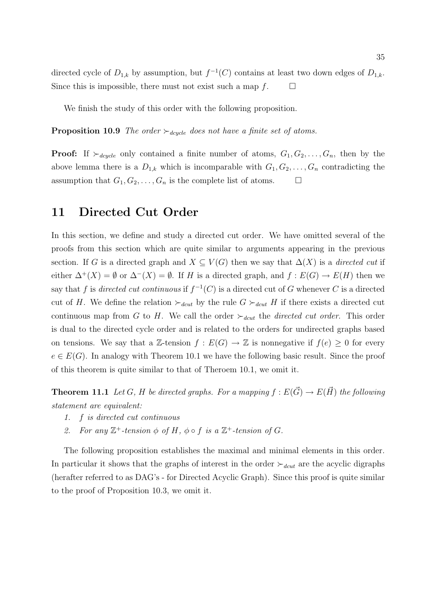directed cycle of  $D_{1,k}$  by assumption, but  $f^{-1}(C)$  contains at least two down edges of  $D_{1,k}$ . Since this is impossible, there must not exist such a map  $f$ .  $\Box$ 

We finish the study of this order with the following proposition.

**Proposition 10.9** The order  $\succ_{\text{dcycle}}$  does not have a finite set of atoms.

**Proof:** If  $\succ_{\text{degree}}$  only contained a finite number of atoms,  $G_1, G_2, \ldots, G_n$ , then by the above lemma there is a  $D_{1,k}$  which is incomparable with  $G_1, G_2, \ldots, G_n$  contradicting the assumption that  $G_1, G_2, \ldots, G_n$  is the complete list of atoms.  $\Box$ 

## 11 Directed Cut Order

In this section, we define and study a directed cut order. We have omitted several of the proofs from this section which are quite similar to arguments appearing in the previous section. If G is a directed graph and  $X \subseteq V(G)$  then we say that  $\Delta(X)$  is a directed cut if either  $\Delta^+(X) = \emptyset$  or  $\Delta^-(X) = \emptyset$ . If H is a directed graph, and  $f : E(G) \to E(H)$  then we say that f is directed cut continuous if  $f^{-1}(C)$  is a directed cut of G whenever C is a directed cut of H. We define the relation  $\succ_{dcut}$  by the rule  $G \succ_{dcut} H$  if there exists a directed cut continuous map from G to H. We call the order  $\succ_{deut}$  the directed cut order. This order is dual to the directed cycle order and is related to the orders for undirected graphs based on tensions. We say that a Z-tension  $f : E(G) \to \mathbb{Z}$  is nonnegative if  $f(e) \geq 0$  for every  $e \in E(G)$ . In analogy with Theorem 10.1 we have the following basic result. Since the proof of this theorem is quite similar to that of Theroem 10.1, we omit it.

**Theorem 11.1** Let G, H be directed graphs. For a mapping  $f : E(\vec{G}) \to E(\vec{H})$  the following statement are equivalent:

- 1. f is directed cut continuous
- 2. For any  $\mathbb{Z}^+$ -tension  $\phi$  of H,  $\phi \circ f$  is a  $\mathbb{Z}^+$ -tension of G.

The following proposition establishes the maximal and minimal elements in this order. In particular it shows that the graphs of interest in the order  $\succ_{deut}$  are the acyclic digraphs (herafter referred to as DAG's - for Directed Acyclic Graph). Since this proof is quite similar to the proof of Proposition 10.3, we omit it.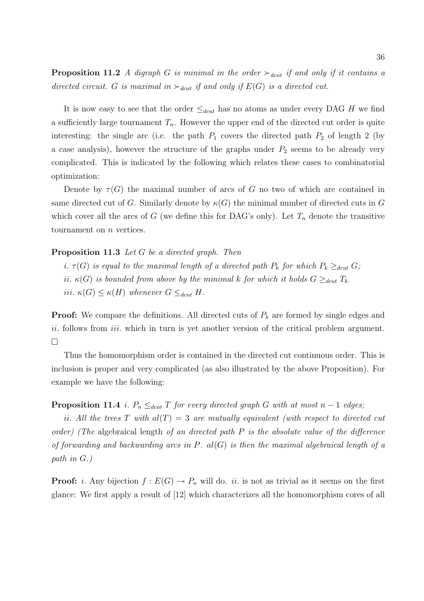**Proposition 11.2** A digraph G is minimal in the order  $\succ_{dct}$  if and only if it contains a directed circuit. G is maximal in  $\succ_{dcut}$  if and only if  $E(G)$  is a directed cut.

It is now easy to see that the order  $\leq_{dcut}$  has no atoms as under every DAG H we find a sufficiently large tournament  $T_n$ . However the upper end of the directed cut order is quite interesting: the single arc (i.e. the path  $P_1$  covers the directed path  $P_2$  of length 2 (by a case analysis), however the structure of the graphs under  $P_2$  seems to be already very complicated. This is indicated by the following which relates these cases to combinatorial optimization:

Denote by  $\tau(G)$  the maximal number of arcs of G no two of which are contained in same directed cut of G. Similarly denote by  $\kappa(G)$  the minimal number of directed cuts in G which cover all the arcs of G (we define this for DAG's only). Let  $T_n$  denote the transitive tournament on  $n$  vertices.

### Proposition 11.3 Let G be a directed graph. Then

i.  $\tau(G)$  is equal to the maximal length of a directed path  $P_k$  for which  $P_k \geq_{dct} G$ ; ii.  $\kappa(G)$  is bounded from above by the minimal k for which it holds  $G \geq_{deut} T_k$ iii.  $\kappa(G) \leq \kappa(H)$  whenever  $G \leq_{dcut} H$ .

**Proof:** We compare the definitions. All directed cuts of  $P_k$  are formed by single edges and ii. follows from *iii*. which in turn is yet another version of the critical problem argument.  $\Box$ 

Thus the homomorphism order is contained in the directed cut continuous order. This is inclusion is proper and very complicated (as also illustrated by the above Proposition). For example we have the following:

### **Proposition 11.4** i.  $P_n \leq_{dct} T$  for every directed graph G with at most  $n-1$  edges;

ii. All the trees T with  $al(T) = 3$  are mutually equivalent (with respect to directed cut order) (The algebraical length of an directed path  $P$  is the absolute value of the difference of forwarding and backwarding arcs in  $P.$  al(G) is then the maximal algebraical length of a path in G.)

**Proof:** *i*. Any bijection  $f : E(G) \to P_n$  will do. *ii*. is not as trivial as it seems on the first glance: We first apply a result of [12] which characterizes all the homomorphism cores of all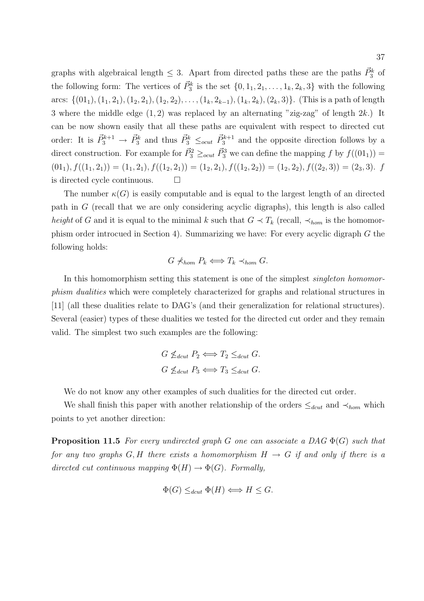graphs with algebraical length  $\leq 3$ . Apart from directed paths these are the paths  $\vec{P}_3^k$  of the following form: The vertices of  $\vec{P}_3^k$  is the set  $\{0, 1_1, 2_1, \ldots, 1_k, 2_k, 3\}$  with the following arcs:  $\{(01_1), (1_1, 2_1), (1_2, 2_1), (1_2, 2_2), \ldots, (1_k, 2_{k-1}), (1_k, 2_k), (2_k, 3)\}.$  (This is a path of length 3 where the middle edge  $(1, 2)$  was replaced by an alternating "zig-zag" of length  $2k$ .) It can be now shown easily that all these paths are equivalent with respect to directed cut order: It is  $\vec{P}_3^{k+1} \to \vec{P}_3^k$  and thus  $\vec{P}_3^k \leq_{ocut} \vec{P}_3^{k+1}$  and the opposite direction follows by a direct construction. For example for  $\vec{P}_3^2 \geq_{ocut} \vec{P}_3^3$  we can define the mapping f by  $f((01_1)) =$  $(01_1), f((1_1, 2_1)) = (1_1, 2_1), f((1_2, 2_1)) = (1_2, 2_1), f((1_2, 2_2)) = (1_2, 2_2), f((2_2, 3)) = (2_3, 3).$ is directed cycle continuous.  $\Box$ 

The number  $\kappa(G)$  is easily computable and is equal to the largest length of an directed path in G (recall that we are only considering acyclic digraphs), this length is also called height of G and it is equal to the minimal k such that  $G \prec T_k$  (recall,  $\prec_{hom}$  is the homomorphism order introcued in Section 4). Summarizing we have: For every acyclic digraph G the following holds:

$$
G \nprec_{hom} P_k \iff T_k \prec_{hom} G.
$$

In this homomorphism setting this statement is one of the simplest *singleton homomor*phism dualities which were completely characterized for graphs and relational structures in [11] (all these dualities relate to DAG's (and their generalization for relational structures). Several (easier) types of these dualities we tested for the directed cut order and they remain valid. The simplest two such examples are the following:

$$
G \nleq_{dcut} P_2 \iff T_2 \leq_{dcut} G.
$$
  

$$
G \nleq_{dcut} P_3 \iff T_3 \leq_{dcut} G.
$$

We do not know any other examples of such dualities for the directed cut order.

We shall finish this paper with another relationship of the orders  $\leq_{deut}$  and  $\prec_{hom}$  which points to yet another direction:

**Proposition 11.5** For every undirected graph G one can associate a DAG  $\Phi(G)$  such that for any two graphs G, H there exists a homomorphism  $H \to G$  if and only if there is a directed cut continuous mapping  $\Phi(H) \to \Phi(G)$ . Formally,

$$
\Phi(G) \leq_{dcut} \Phi(H) \iff H \leq G.
$$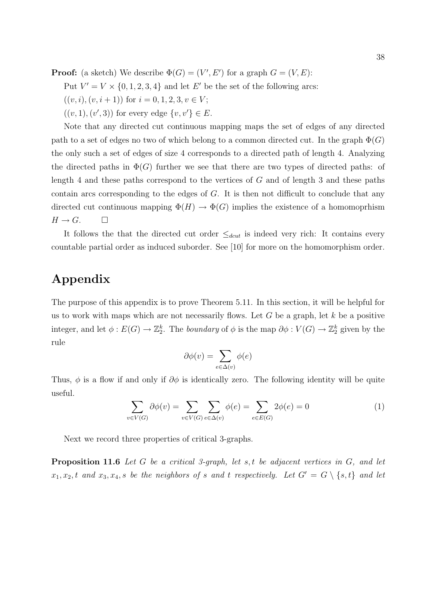**Proof:** (a sketch) We describe  $\Phi(G) = (V', E')$  for a graph  $G = (V, E)$ :

Put  $V' = V \times \{0, 1, 2, 3, 4\}$  and let E' be the set of the following arcs:

- $((v, i), (v, i + 1))$  for  $i = 0, 1, 2, 3, v \in V$ ;
- $((v, 1), (v', 3))$  for every edge  $\{v, v'\} \in E$ .

Note that any directed cut continuous mapping maps the set of edges of any directed path to a set of edges no two of which belong to a common directed cut. In the graph  $\Phi(G)$ the only such a set of edges of size 4 corresponds to a directed path of length 4. Analyzing the directed paths in  $\Phi(G)$  further we see that there are two types of directed paths: of length 4 and these paths correspond to the vertices of G and of length 3 and these paths contain arcs corresponding to the edges of G. It is then not difficult to conclude that any directed cut continuous mapping  $\Phi(H) \to \Phi(G)$  implies the existence of a homomoprhism  $H \to G$ .  $\Box$ 

It follows the that the directed cut order  $\leq_{dcut}$  is indeed very rich: It contains every countable partial order as induced suborder. See [10] for more on the homomorphism order.

# Appendix

The purpose of this appendix is to prove Theorem 5.11. In this section, it will be helpful for us to work with maps which are not necessarily flows. Let  $G$  be a graph, let  $k$  be a positive integer, and let  $\phi: E(G) \to \mathbb{Z}_2^k$ . The boundary of  $\phi$  is the map  $\partial \phi: V(G) \to \mathbb{Z}_2^k$  given by the rule

$$
\partial \phi(v) = \sum_{e \in \Delta(v)} \phi(e)
$$

Thus,  $\phi$  is a flow if and only if  $\partial \phi$  is identically zero. The following identity will be quite useful.  $\overline{\phantom{a}}$  $\overline{\phantom{a}}$ 

$$
\sum_{v \in V(G)} \partial \phi(v) = \sum_{v \in V(G)} \sum_{e \in \Delta(v)} \phi(e) = \sum_{e \in E(G)} 2\phi(e) = 0 \tag{1}
$$

Next we record three properties of critical 3-graphs.

**Proposition 11.6** Let G be a critical 3-graph, let s, t be adjacent vertices in  $G$ , and let  $x_1, x_2, t$  and  $x_3, x_4, s$  be the neighbors of s and t respectively. Let  $G' = G \setminus \{s, t\}$  and let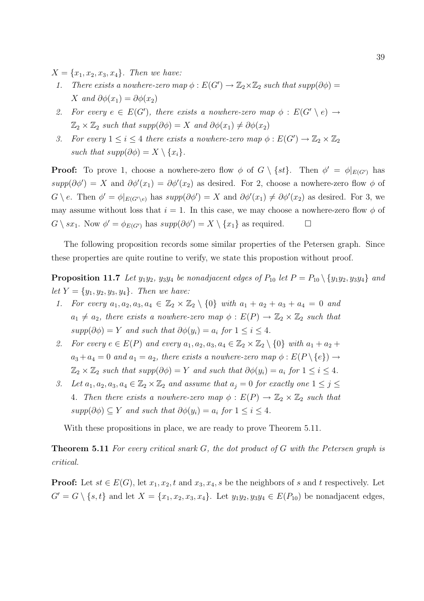$X = \{x_1, x_2, x_3, x_4\}.$  Then we have:

- 1. There exists a nowhere-zero map  $\phi : E(G') \to \mathbb{Z}_2 \times \mathbb{Z}_2$  such that  $supp(\partial \phi) =$ X and  $\partial \phi(x_1) = \partial \phi(x_2)$
- 2. For every  $e \in E(G')$ , there exists a nowhere-zero map  $\phi : E(G' \setminus e) \rightarrow$  $\mathbb{Z}_2 \times \mathbb{Z}_2$  such that supp $(\partial \phi) = X$  and  $\partial \phi(x_1) \neq \partial \phi(x_2)$
- 3. For every  $1 \leq i \leq 4$  there exists a nowhere-zero map  $\phi : E(G') \to \mathbb{Z}_2 \times \mathbb{Z}_2$ such that  $supp(\partial \phi) = X \setminus \{x_i\}.$

**Proof:** To prove 1, choose a nowhere-zero flow  $\phi$  of  $G \setminus \{st\}$ . Then  $\phi' = \phi|_{E(G')}$  has  $supp(\partial \phi') = X$  and  $\partial \phi'(x_1) = \partial \phi'(x_2)$  as desired. For 2, choose a nowhere-zero flow  $\phi$  of  $G \setminus e$ . Then  $\phi' = \phi|_{E(G' \setminus e)}$  has  $supp(\partial \phi') = X$  and  $\partial \phi'(x_1) \neq \partial \phi'(x_2)$  as desired. For 3, we may assume without loss that  $i = 1$ . In this case, we may choose a nowhere-zero flow  $\phi$  of  $G \setminus sx_1$ . Now  $\phi' = \phi_{E(G')}$  has  $supp(\partial \phi') = X \setminus \{x_1\}$  as required.  $\Box$ 

The following proposition records some similar properties of the Petersen graph. Since these properties are quite routine to verify, we state this propostion without proof.

**Proposition 11.7** Let  $y_1y_2$ ,  $y_3y_4$  be nonadjacent edges of  $P_{10}$  let  $P = P_{10} \setminus \{y_1y_2, y_3y_4\}$  and let  $Y = \{y_1, y_2, y_3, y_4\}$ . Then we have:

- 1. For every  $a_1, a_2, a_3, a_4 \in \mathbb{Z}_2 \times \mathbb{Z}_2 \setminus \{0\}$  with  $a_1 + a_2 + a_3 + a_4 = 0$  and  $a_1 \neq a_2$ , there exists a nowhere-zero map  $\phi : E(P) \to \mathbb{Z}_2 \times \mathbb{Z}_2$  such that  $supp(\partial \phi) = Y$  and such that  $\partial \phi(y_i) = a_i$  for  $1 \leq i \leq 4$ .
- 2. For every  $e \in E(P)$  and every  $a_1, a_2, a_3, a_4 \in \mathbb{Z}_2 \times \mathbb{Z}_2 \setminus \{0\}$  with  $a_1 + a_2 + a_3$  $a_3 + a_4 = 0$  and  $a_1 = a_2$ , there exists a nowhere-zero map  $\phi : E(P \setminus \{e\}) \rightarrow$  $\mathbb{Z}_2 \times \mathbb{Z}_2$  such that  $supp(\partial \phi) = Y$  and such that  $\partial \phi(y_i) = a_i$  for  $1 \leq i \leq 4$ .
- 3. Let  $a_1, a_2, a_3, a_4 \in \mathbb{Z}_2 \times \mathbb{Z}_2$  and assume that  $a_j = 0$  for exactly one  $1 \leq j \leq j$ 4. Then there exists a nowhere-zero map  $\phi : E(P) \to \mathbb{Z}_2 \times \mathbb{Z}_2$  such that  $supp(\partial \phi) \subseteq Y$  and such that  $\partial \phi(y_i) = a_i$  for  $1 \leq i \leq 4$ .

With these propositions in place, we are ready to prove Theorem 5.11.

**Theorem 5.11** For every critical snark  $G$ , the dot product of  $G$  with the Petersen graph is critical.

**Proof:** Let  $st \in E(G)$ , let  $x_1, x_2, t$  and  $x_3, x_4, s$  be the neighbors of s and t respectively. Let  $G' = G \setminus \{s, t\}$  and let  $X = \{x_1, x_2, x_3, x_4\}$ . Let  $y_1y_2, y_3y_4 \in E(P_{10})$  be nonadjacent edges,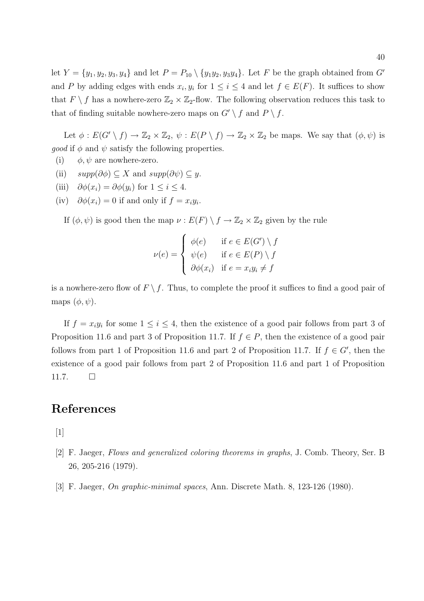let  $Y = \{y_1, y_2, y_3, y_4\}$  and let  $P = P_{10} \setminus \{y_1y_2, y_3y_4\}$ . Let F be the graph obtained from G' and P by adding edges with ends  $x_i, y_i$  for  $1 \leq i \leq 4$  and let  $f \in E(F)$ . It suffices to show that  $F \setminus f$  has a nowhere-zero  $\mathbb{Z}_2 \times \mathbb{Z}_2$ -flow. The following observation reduces this task to that of finding suitable nowhere-zero maps on  $G' \setminus f$  and  $P \setminus f$ .

Let  $\phi: E(G' \setminus f) \to \mathbb{Z}_2 \times \mathbb{Z}_2$ ,  $\psi: E(P \setminus f) \to \mathbb{Z}_2 \times \mathbb{Z}_2$  be maps. We say that  $(\phi, \psi)$  is *good* if  $\phi$  and  $\psi$  satisfy the following properties.

- (i)  $\phi, \psi$  are nowhere-zero.
- (ii)  $supp(\partial \phi) \subseteq X$  and  $supp(\partial \psi) \subseteq y$ .
- (iii)  $\partial \phi(x_i) = \partial \phi(y_i)$  for  $1 \leq i \leq 4$ .
- (iv)  $\partial \phi(x_i) = 0$  if and only if  $f = x_i y_i$ .

If  $(\phi, \psi)$  is good then the map  $\nu : E(F) \setminus f \to \mathbb{Z}_2 \times \mathbb{Z}_2$  given by the rule

$$
\nu(e) = \begin{cases} \phi(e) & \text{if } e \in E(G') \setminus f \\ \psi(e) & \text{if } e \in E(P) \setminus f \\ \partial \phi(x_i) & \text{if } e = x_i y_i \neq f \end{cases}
$$

is a nowhere-zero flow of  $F \setminus f$ . Thus, to complete the proof it suffices to find a good pair of maps  $(\phi, \psi)$ .

If  $f = x_i y_i$  for some  $1 \leq i \leq 4$ , then the existence of a good pair follows from part 3 of Proposition 11.6 and part 3 of Proposition 11.7. If  $f \in P$ , then the existence of a good pair follows from part 1 of Proposition 11.6 and part 2 of Proposition 11.7. If  $f \in G'$ , then the existence of a good pair follows from part 2 of Proposition 11.6 and part 1 of Proposition  $11.7. \Box$ 

## References

 $\lceil 1 \rceil$ 

- [2] F. Jaeger, Flows and generalized coloring theorems in graphs, J. Comb. Theory, Ser. B 26, 205-216 (1979).
- [3] F. Jaeger, On graphic-minimal spaces, Ann. Discrete Math. 8, 123-126 (1980).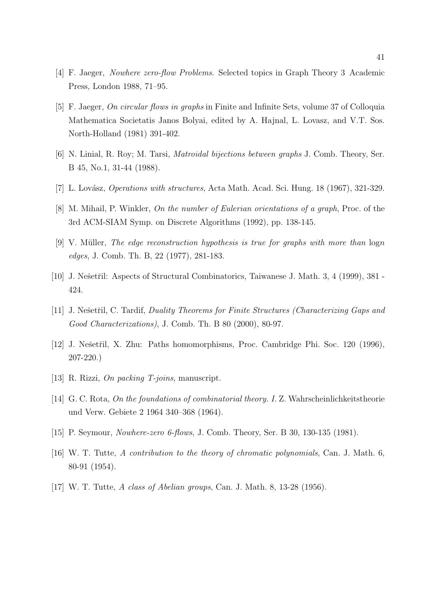- [4] F. Jaeger, Nowhere zero-flow Problems. Selected topics in Graph Theory 3 Academic Press, London 1988, 71–95.
- [5] F. Jaeger, On circular flows in graphs in Finite and Infinite Sets, volume 37 of Colloquia Mathematica Societatis Janos Bolyai, edited by A. Hajnal, L. Lovasz, and V.T. Sos. North-Holland (1981) 391-402.
- [6] N. Linial, R. Roy; M. Tarsi, Matroidal bijections between graphs J. Comb. Theory, Ser. B 45, No.1, 31-44 (1988).
- [7] L. Lovász, *Operations with structures*, Acta Math. Acad. Sci. Hung. 18 (1967), 321-329.
- [8] M. Mihail, P. Winkler, On the number of Eulerian orientations of a graph, Proc. of the 3rd ACM-SIAM Symp. on Discrete Algorithms (1992), pp. 138-145.
- [9] V. Müller, The edge reconstruction hypothesis is true for graphs with more than logn edges, J. Comb. Th. B, 22 (1977), 281-183.
- [10] J. Nešetřil: Aspects of Structural Combinatorics, Taiwanese J. Math. 3, 4 (1999), 381 -424.
- [11] J. Nešetřil, C. Tardif, Duality Theorems for Finite Structures (Characterizing Gaps and Good Characterizations), J. Comb. Th. B 80 (2000), 80-97.
- [12] J. Nešetřil, X. Zhu: Paths homomorphisms, Proc. Cambridge Phi. Soc. 120 (1996), 207-220.)
- [13] R. Rizzi, On packing T-joins, manuscript.
- [14] G. C. Rota, On the foundations of combinatorial theory. I. Z. Wahrscheinlichkeitstheorie und Verw. Gebiete 2 1964 340–368 (1964).
- [15] P. Seymour, *Nowhere-zero 6-flows*, J. Comb. Theory, Ser. B 30, 130-135 (1981).
- [16] W. T. Tutte, A contribution to the theory of chromatic polynomials, Can. J. Math. 6, 80-91 (1954).
- [17] W. T. Tutte, A class of Abelian groups, Can. J. Math. 8, 13-28 (1956).